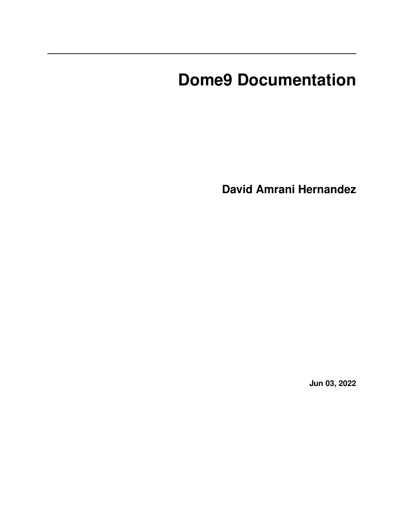# **Dome9 Documentation**

**David Amrani Hernandez**

**Jun 03, 2022**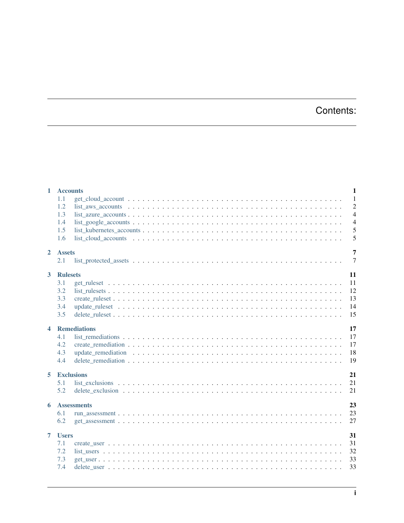# Contents:

|                      | 1 Accounts<br>$\mathbf{1}$                                                                                                                                                                                                                                                                                                                                                      |
|----------------------|---------------------------------------------------------------------------------------------------------------------------------------------------------------------------------------------------------------------------------------------------------------------------------------------------------------------------------------------------------------------------------|
|                      | $\overline{1}$<br>1.1<br>$\overline{2}$<br>1.2<br>$list_aws_accounts \dots \dots \dots \dots \dots \dots \dots \dots \dots \dots \dots \dots \dots \dots \dots \dots \dots$<br>$\overline{4}$<br>1.3<br>$\overline{4}$<br>1.4<br>$list\_goge\_accounds \dots \dots \dots \dots \dots \dots \dots \dots \dots \dots \dots \dots \dots \dots \dots \dots$<br>5<br>1.5<br>5<br>1.6 |
| $\overline{2}$       | 7<br><b>Assets</b><br>$\overline{7}$<br>2.1                                                                                                                                                                                                                                                                                                                                     |
| $\overline{3}$       | 11<br><b>Rulesets</b><br>11<br>3.1<br>3.2<br>12<br>13<br>3.3<br>14<br>3.4<br>15<br>3.5                                                                                                                                                                                                                                                                                          |
| $\blacktriangleleft$ | 17<br><b>Remediations</b><br>17<br>4.1<br>4.2<br>17<br>4.3<br>18<br>19<br>4.4                                                                                                                                                                                                                                                                                                   |
| 5                    | 21<br><b>Exclusions</b><br>21<br>5.1<br>5.2<br>21                                                                                                                                                                                                                                                                                                                               |
| 6                    | 23<br><b>Assessments</b><br>23<br>6.1<br>6.2<br>27                                                                                                                                                                                                                                                                                                                              |
| $\overline{7}$       | 31<br><b>Users</b><br>31<br>7.1<br>7.2<br>32<br>7.3<br>33<br>33<br>7.4                                                                                                                                                                                                                                                                                                          |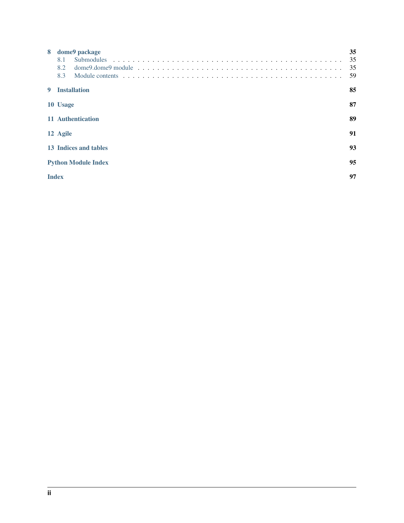| 8 | dome9 package<br>8.1<br>8.2<br>8.3 | 35<br>35<br>35<br>59 |
|---|------------------------------------|----------------------|
| 9 | <b>Installation</b>                | 85                   |
|   | 10 Usage                           | 87                   |
|   | 11 Authentication                  | 89                   |
|   | 12 Agile                           | 91                   |
|   | 13 Indices and tables              | 93                   |
|   | <b>Python Module Index</b>         | 95                   |
|   | <b>Index</b>                       | 97                   |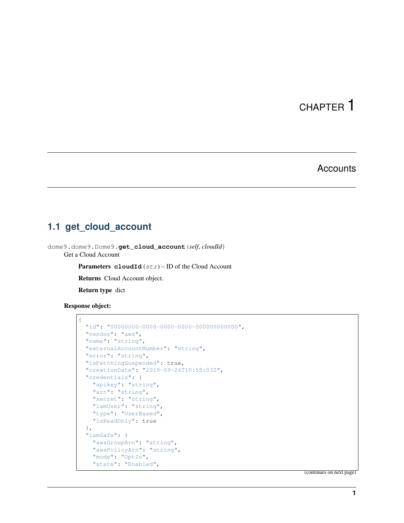#### **Accounts**

### <span id="page-4-1"></span><span id="page-4-0"></span>**1.1 get\_cloud\_account**

dome9.dome9.Dome9.**get\_cloud\_account**(*self*, *cloudId*) Get a Cloud Account

**Parameters cloudId**  $(str)$  – ID of the Cloud Account

Returns Cloud Account object.

Return type dict

Response object:

```
{
 "id": "00000000-0000-0000-0000-000000000000",
 "vendor": "aws",
 "name": "string",
 "externalAccountNumber": "string",
 "error": "string",
 "isFetchingSuspended": true,
 "creationDate": "2019-09-26T10:55:03Z",
 "credentials": {
   "apikey": "string",
   "arn": "string",
   "secret": "string",
   "iamUser": "string",
   "type": "UserBased",
    "isReadOnly": true
 },
 "iamSafe": {
   "awsGroupArn": "string",
    "awsPolicyArn": "string",
    "mode": "OptIn",
    "state": "Enabled",
```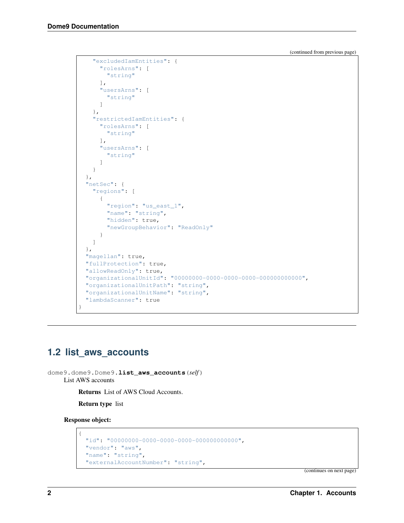```
"excludedIamEntities": {
      "rolesArns": [
        "string"
      ],
      "usersArns": [
       "string"
     ]
   },
    "restrictedIamEntities": {
     "rolesArns": [
       "string"
     \frac{1}{2},
      "usersArns": [
       "string"
      ]
    }
  },
  "netSec": {
    "regions": [
      {
        "region": "us_east_1",
        "name": "string",
        "hidden": true,
       "newGroupBehavior": "ReadOnly"
      }
   ]
 },
 "magellan": true,
 "fullProtection": true,
  "allowReadOnly": true,
  "organizationalUnitId": "00000000-0000-0000-0000-000000000000",
  "organizationalUnitPath": "string",
  "organizationalUnitName": "string",
  "lambdaScanner": true
}
```
## <span id="page-5-0"></span>**1.2 list\_aws\_accounts**

```
dome9.dome9.Dome9.list_aws_accounts(self)
    List AWS accounts
```
Returns List of AWS Cloud Accounts.

Return type list

Response object:

{

```
"id": "00000000-0000-0000-0000-000000000000",
"vendor": "aws",
"name": "string",
"externalAccountNumber": "string",
```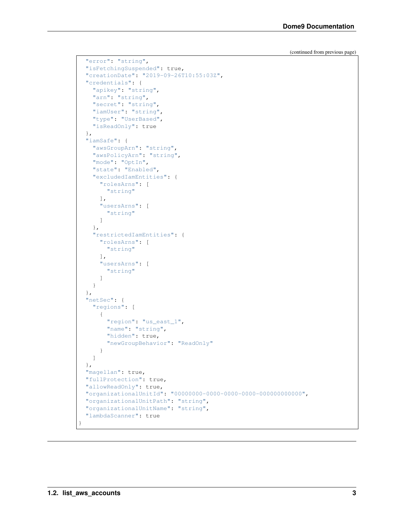```
"error": "string",
 "isFetchingSuspended": true,
 "creationDate": "2019-09-26T10:55:03Z",
 "credentials": {
   "apikey": "string",
   "arn": "string",
   "secret": "string",
   "iamUser": "string",
   "type": "UserBased",
   "isReadOnly": true
 },
 "iamSafe": {
   "awsGroupArn": "string",
   "awsPolicyArn": "string",
   "mode": "OptIn",
   "state": "Enabled",
   "excludedIamEntities": {
     "rolesArns": [
       "string"
     ],
     "usersArns": [
       "string"
     ]
   },
   "restrictedIamEntities": {
     "rolesArns": [
       "string"
     ],
     "usersArns": [
       "string"
     ]
   }
 },
 "netSec": {
   "regions": [
     {
       "region": "us_east_1",
       "name": "string",
       "hidden": true,
       "newGroupBehavior": "ReadOnly"
     }
   ]
 },
 "magellan": true,
 "fullProtection": true,
 "allowReadOnly": true,
 "organizationalUnitId": "00000000-0000-0000-0000-000000000000",
 "organizationalUnitPath": "string",
 "organizationalUnitName": "string",
 "lambdaScanner": true
}
```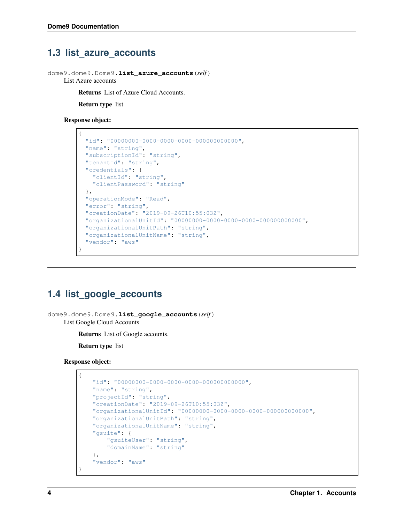### <span id="page-7-0"></span>**1.3 list\_azure\_accounts**

dome9.dome9.Dome9.**list\_azure\_accounts**(*self*)

List Azure accounts

Returns List of Azure Cloud Accounts.

Return type list

#### Response object:

```
{
 "id": "00000000-0000-0000-0000-000000000000",
 "name": "string",
 "subscriptionId": "string",
 "tenantId": "string",
 "credentials": {
   "clientId": "string",
   "clientPassword": "string"
 },
 "operationMode": "Read",
 "error": "string",
 "creationDate": "2019-09-26T10:55:03Z",
 "organizationalUnitId": "00000000-0000-0000-0000-000000000000",
 "organizationalUnitPath": "string",
 "organizationalUnitName": "string",
 "vendor": "aws"
}
```
# <span id="page-7-1"></span>**1.4 list\_google\_accounts**

dome9.dome9.Dome9.**list\_google\_accounts**(*self*) List Google Cloud Accounts

Returns List of Google accounts.

Return type list

Response object:

```
{
    "id": "00000000-0000-0000-0000-000000000000",
    "name": "string",
    "projectId": "string",
    "creationDate": "2019-09-26T10:55:03Z",
    "organizationalUnitId": "00000000-0000-0000-0000-000000000000",
    "organizationalUnitPath": "string",
    "organizationalUnitName": "string",
    "gsuite": {
       "gsuiteUser": "string",
       "domainName": "string"
    },
    "vendor": "aws"
}
```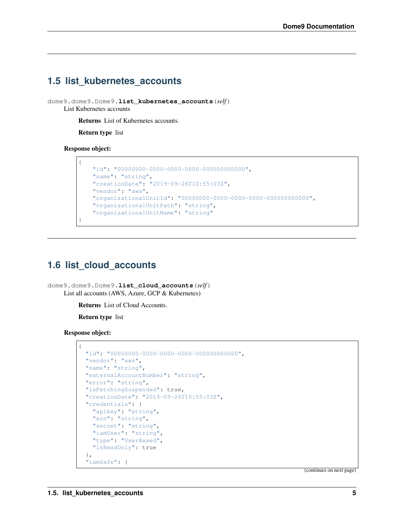# <span id="page-8-0"></span>**1.5 list\_kubernetes\_accounts**

dome9.dome9.Dome9.**list\_kubernetes\_accounts**(*self*) List Kubernetes accounts

Returns List of Kubernetes accounts.

Return type list

Response object:

{

}

```
"id": "00000000-0000-0000-0000-000000000000",
"name": "string",
"creationDate": "2019-09-26T10:55:03Z",
"vendor": "aws",
"organizationalUnitId": "00000000-0000-0000-0000-000000000000",
"organizationalUnitPath": "string",
"organizationalUnitName": "string"
```
# <span id="page-8-1"></span>**1.6 list\_cloud\_accounts**

dome9.dome9.Dome9.**list\_cloud\_accounts**(*self*) List all accounts (AWS, Azure, GCP & Kubernetes)

Returns List of Cloud Accounts.

Return type list

Response object:

```
{
 "id": "00000000-0000-0000-0000-000000000000",
 "vendor": "aws",
 "name": "string",
 "externalAccountNumber": "string",
 "error": "string",
 "isFetchingSuspended": true,
 "creationDate": "2019-09-26T10:55:03Z",
 "credentials": {
   "apikey": "string",
   "arn": "string",
   "secret": "string",
   "iamUser": "string",
   "type": "UserBased",
   "isReadOnly": true
 },
 "iamSafe": {
```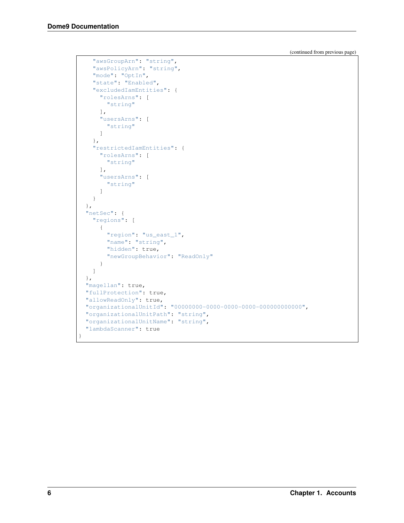```
"awsGroupArn": "string",
   "awsPolicyArn": "string",
    "mode": "OptIn",
    "state": "Enabled",
    "excludedIamEntities": {
     "rolesArns": [
       "string"
     ],
     "usersArns": [
       "string"
     ]
   },
    "restrictedIamEntities": {
     "rolesArns": [
       "string"
     ],
     "usersArns": [
       "string"
     ]
   }
 },
 "netSec": {
    "regions": [
    \left\{ \right."region": "us_east_1",
       "name": "string",
       "hidden": true,
       "newGroupBehavior": "ReadOnly"
     }
   ]
 },
 "magellan": true,
 "fullProtection": true,
 "allowReadOnly": true,
 "organizationalUnitId": "00000000-0000-0000-0000-000000000000",
 "organizationalUnitPath": "string",
 "organizationalUnitName": "string",
 "lambdaScanner": true
}
```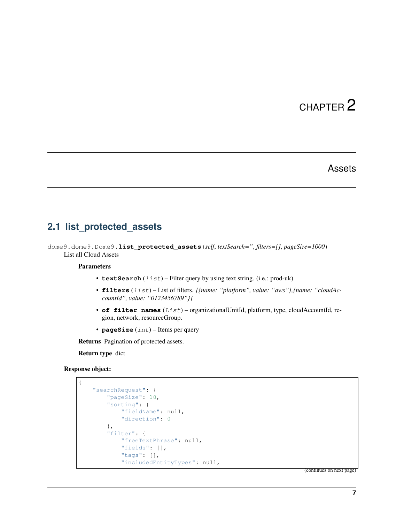#### Assets

## <span id="page-10-1"></span><span id="page-10-0"></span>**2.1 list\_protected\_assets**

dome9.dome9.Dome9.**list\_protected\_assets**(*self*, *textSearch="*, *filters=[]*, *pageSize=1000*) List all Cloud Assets

#### Parameters

- **textSearch** (*list*) Filter query by using text string. (i.e.: prod-uk)
- **filters** (list) List of filters. *[{name: "platform", value: "aws"},{name: "cloudAccountId", value: "0123456789"}]*
- **of filter names** (List) organizationalUnitId, platform, type, cloudAccountId, region, network, resourceGroup.
- **pageSize** (int) Items per query

Returns Pagination of protected assets.

Return type dict

#### Response object:

```
{
    "searchRequest": {
       "pageSize": 10,
        "sorting": {
            "fieldName": null,
            "direction": 0
        },
        "filter": {
            "freeTextPhrase": null,
            "fields": [],
            "tags": [],
            "includedEntityTypes": null,
```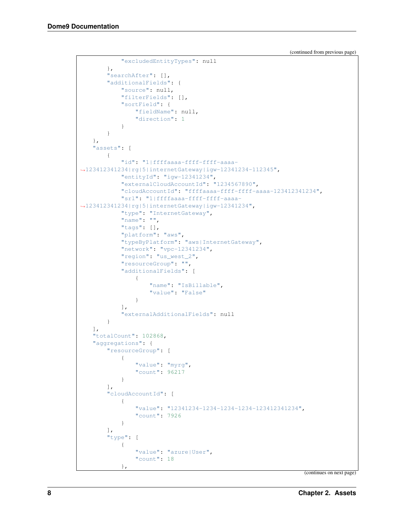```
"excludedEntityTypes": null
        },
        "searchAfter": [],
        "additionalFields": {
            "source": null,
            "filterFields": [],
            "sortField": {
                "fieldName": null,
                "direction": 1
            }
       }
    },
    "assets": [
        {
            "id": "1|ffffaaaa-ffff-ffff-aaaa-
˓→123412341234|rg|5|internetGateway|igw-12341234-112345",
            "entityId": "igw-12341234",
            "externalCloudAccountId": "1234567890",
            "cloudAccountId": "ffffaaaa-ffff-ffff-aaaa-123412341234",
            "srl": "1|ffffaaaa-ffff-ffff-aaaa-
˓→123412341234|rg|5|internetGateway|igw-12341234",
            "type": "InternetGateway",
            "name": "",
            "tags": [],
            "platform": "aws",
            "typeByPlatform": "aws|InternetGateway",
            "network": "vpc-12341234",
            "region": "us_west_2",
            "resourceGroup": "",
            "additionalFields": [
                {
                     "name": "IsBillable",
                     "value": "False"
                }
            \frac{1}{2},
            "externalAdditionalFields": null
        }
    \vert,
    "totalCount": 102868,
    "aggregations": {
        "resourceGroup": [
            {
                "value": "myrg",
                "count": 96217
            }
        \frac{1}{2},
        "cloudAccountId": [
            {
                "value": "12341234-1234-1234-1234-123412341234",
                "count": 7926
            }
        \frac{1}{\sqrt{2}}"type": [
            {
                "value": "azure|User",
                "count": 18
            },
```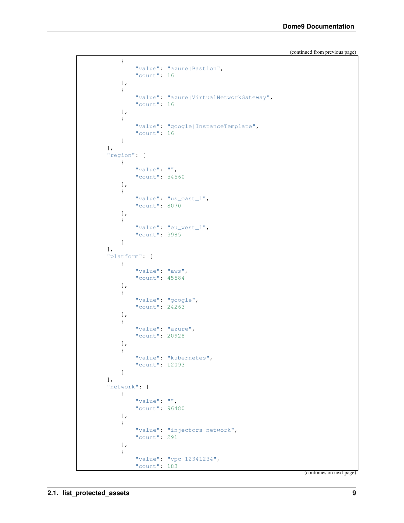```
{
        "value": "azure|Bastion",
        "count": 16
    },
    {
        "value": "azure|VirtualNetworkGateway",
        "count": 16
    },
    {
        "value": "google|InstanceTemplate",
        "count": 16
    }
],
"region": [
    {
        "value": "",
        "count": 54560
    },
    {
        "value": "us_east_1",
        "count": 8070
    },
    {
        "value": "eu_west_1",
        "count": 3985
    }
],
"platform": [
    {
        "value": "aws",
        "count": 45584
    },
    {
        "value": "google",
        "count": 24263
    },
    {
        "value": "azure",
        "count": 20928
    },
    {
        "value": "kubernetes",
        "count": 12093
    }
\frac{1}{2},
"network": [
    {
        "value": "",
        "count": 96480
    },
    {
        "value": "injectors-network",
        "count": 291
    },
    {
        "value": "vpc-12341234",
        "count": 183
```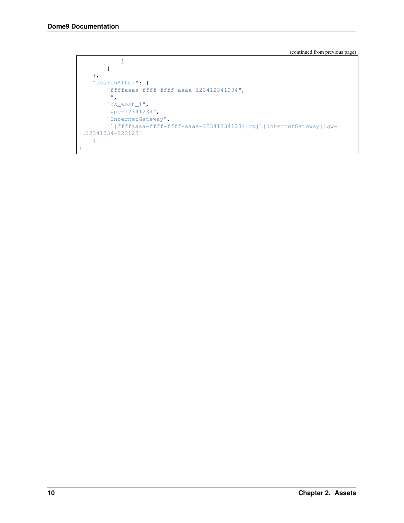```
}
         ]
    },
    "searchAfter": [
         "ffffaaaa-ffff-ffff-aaaa-123412341234",
         \left\langle \mathbf{u},\mathbf{u}\right\rangle _{0}"us_west_1",
         "vpc-12341234",
         "InternetGateway",
         "1|ffffaaaa-ffff-ffff-aaaa-123412341234|rg|1|internetGateway|igw-
˓→12341234-123123"
    ]
}
```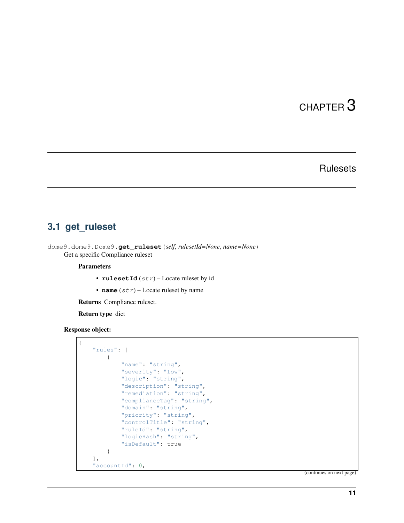## **Rulesets**

### <span id="page-14-1"></span><span id="page-14-0"></span>**3.1 get\_ruleset**

dome9.dome9.Dome9.**get\_ruleset**(*self*, *rulesetId=None*, *name=None*) Get a specific Compliance ruleset

**Parameters** 

- **rulesetId**  $(str)$  Locate ruleset by id
- **name**  $(str)$  Locate ruleset by name

Returns Compliance ruleset.

Return type dict

Response object:

```
{
    "rules": [
       {
            "name": "string",
            "severity": "Low",
            "logic": "string",
            "description": "string",
            "remediation": "string",
            "complianceTag": "string",
            "domain": "string",
            "priority": "string",
            "controlTitle": "string",
            "ruleId": "string",
            "logicHash": "string",
            "isDefault": true
        }
   ],
    "accountId": 0,
```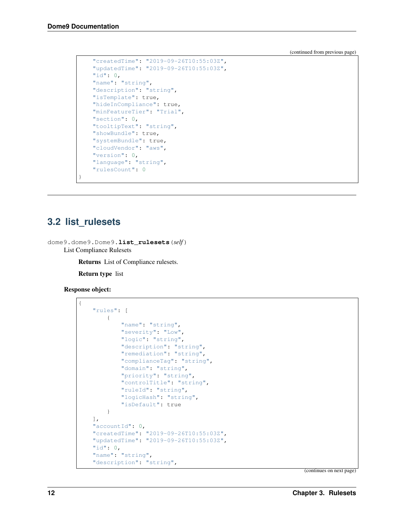```
"createdTime": "2019-09-26T10:55:03Z",
"updatedTime": "2019-09-26T10:55:03Z",
"id": 0,
"name": "string",
"description": "string",
"isTemplate": true,
"hideInCompliance": true,
"minFeatureTier": "Trial",
"section": 0,
"tooltipText": "string",
"showBundle": true,
"systemBundle": true,
"cloudVendor": "aws",
"version": 0,
"language": "string",
"rulesCount": 0
```
### <span id="page-15-0"></span>**3.2 list\_rulesets**

}

dome9.dome9.Dome9.**list\_rulesets**(*self*) List Compliance Rulesets

Returns List of Compliance rulesets.

Return type list

Response object:

```
{
    "rules": [
        {
            "name": "string",
            "severity": "Low",
            "logic": "string",
            "description": "string",
            "remediation": "string",
            "complianceTag": "string",
            "domain": "string",
            "priority": "string",
            "controlTitle": "string",
            "ruleId": "string",
            "logicHash": "string",
            "isDefault": true
        }
   \frac{1}{2}"accountId": 0,
   "createdTime": "2019-09-26T10:55:03Z",
   "updatedTime": "2019-09-26T10:55:03Z",
   "id": 0,
    "name": "string",
    "description": "string",
```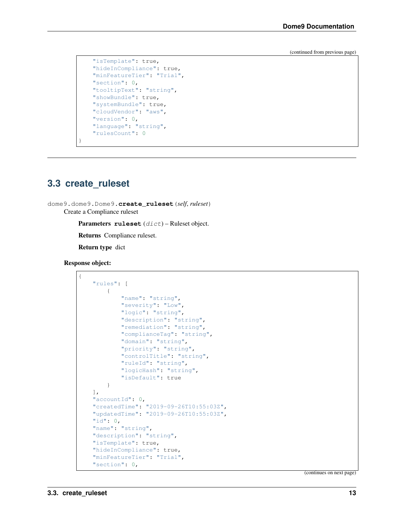```
"isTemplate": true,
"hideInCompliance": true,
"minFeatureTier": "Trial",
"section": 0,
"tooltipText": "string",
"showBundle": true,
"systemBundle": true,
"cloudVendor": "aws",
"version": 0,
"language": "string",
"rulesCount": 0
```
## <span id="page-16-0"></span>**3.3 create\_ruleset**

}

```
dome9.dome9.Dome9.create_ruleset(self, ruleset)
     Create a Compliance ruleset
```
Parameters **ruleset** (dict) – Ruleset object.

Returns Compliance ruleset.

Return type dict

Response object:

```
{
    "rules": [
        {
            "name": "string",
            "severity": "Low",
            "logic": "string",
            "description": "string",
            "remediation": "string",
            "complianceTag": "string",
            "domain": "string",
            "priority": "string",
            "controlTitle": "string",
            "ruleId": "string",
            "logicHash": "string",
            "isDefault": true
       }
   ],
   "accountId": 0,
    "createdTime": "2019-09-26T10:55:03Z",
    "updatedTime": "2019-09-26T10:55:03Z",
   "id": 0,
    "name": "string",
    "description": "string",
    "isTemplate": true,
    "hideInCompliance": true,
    "minFeatureTier": "Trial",
    "section": 0,
```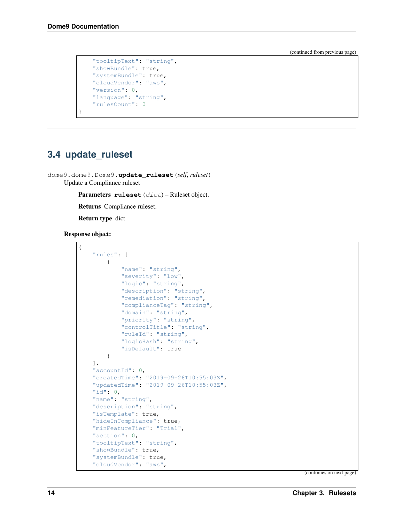```
"tooltipText": "string",
"showBundle": true,
"systemBundle": true,
"cloudVendor": "aws",
"version": 0,
"language": "string",
"rulesCount": 0
```
## <span id="page-17-0"></span>**3.4 update\_ruleset**

}

dome9.dome9.Dome9.**update\_ruleset**(*self*, *ruleset*) Update a Compliance ruleset

Parameters **ruleset** (dict) – Ruleset object.

Returns Compliance ruleset.

Return type dict

#### Response object:

{

| "rules": [    |                                        |
|---------------|----------------------------------------|
| $\{$          |                                        |
|               | "name": "string",                      |
|               | "severity": "Low",                     |
|               | "logic": "string",                     |
|               | "description": "string",               |
|               | "remediation": "string",               |
|               | "complianceTaq": "string",             |
|               | "domain": "string",                    |
|               | "priority": "string",                  |
|               | "controlTitle": "string",              |
|               | "ruleId": "string",                    |
|               | "logicHash": "string",                 |
|               | "isDefault": true                      |
| ł             |                                        |
| $\cdot$       |                                        |
|               | "accountId": 0,                        |
|               | "createdTime": "2019-09-26T10:55:03Z", |
|               | "updatedTime": "2019-09-26T10:55:03Z", |
| "id": $0$ ,   |                                        |
|               | "name": "string",                      |
|               | "description": "string",               |
|               | "isTemplate": true,                    |
|               | "hideInCompliance": true,              |
|               | "minFeatureTier": "Trial",             |
| "section": 0, |                                        |
|               | "tooltipText": "string",               |
|               | "showBundle": true,                    |
|               | "systemBundle": true,                  |
|               | "cloudVendor": "aws",                  |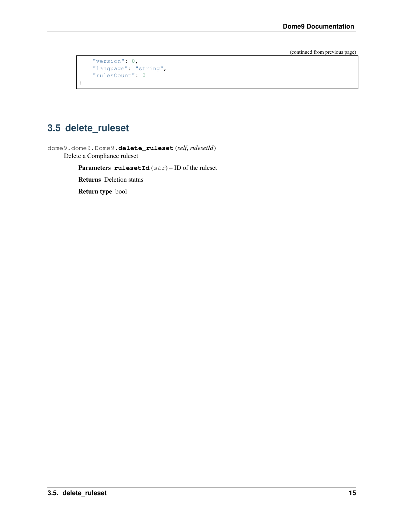```
"version": 0,
"language": "string",
"rulesCount": 0
```
# <span id="page-18-0"></span>**3.5 delete\_ruleset**

}

dome9.dome9.Dome9.**delete\_ruleset**(*self*, *rulesetId*) Delete a Compliance ruleset

Parameters  $rulesetId(str) - ID$  of the ruleset

Returns Deletion status

Return type bool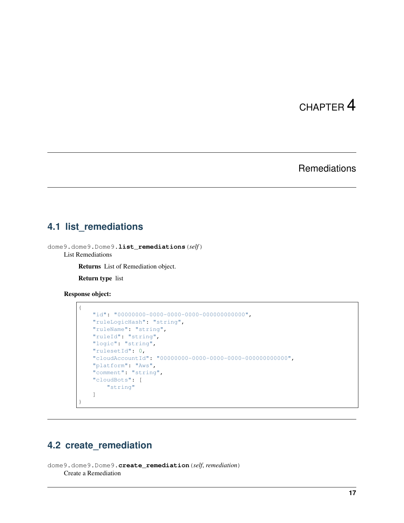# **Remediations**

### <span id="page-20-1"></span><span id="page-20-0"></span>**4.1 list\_remediations**

dome9.dome9.Dome9.**list\_remediations**(*self*) List Remediations

Returns List of Remediation object.

Return type list

Response object:

```
{
   "id": "00000000-0000-0000-0000-000000000000",
   "ruleLogicHash": "string",
   "ruleName": "string",
   "ruleId": "string",
   "logic": "string",
   "rulesetId": 0,
   "cloudAccountId": "00000000-0000-0000-0000-000000000000",
   "platform": "Aws",
   "comment": "string",
   "cloudBots": [
        "string"
   ]
}
```
# <span id="page-20-2"></span>**4.2 create\_remediation**

```
dome9.dome9.Dome9.create_remediation(self, remediation)
    Create a Remediation
```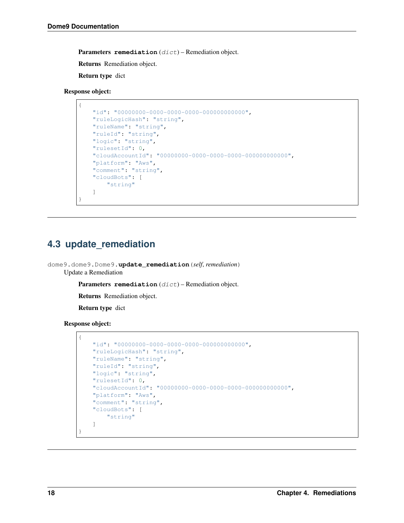Parameters remediation (dict) - Remediation object.

Returns Remediation object.

Return type dict

Response object:

{

}

```
"id": "00000000-0000-0000-0000-000000000000",
"ruleLogicHash": "string",
"ruleName": "string",
"ruleId": "string",
"logic": "string",
"rulesetId": 0,
"cloudAccountId": "00000000-0000-0000-0000-000000000000",
"platform": "Aws",
"comment": "string",
"cloudBots": [
    "string"
]
```
## <span id="page-21-0"></span>**4.3 update\_remediation**

dome9.dome9.Dome9.**update\_remediation**(*self*, *remediation*) Update a Remediation

Parameters remediation (dict) - Remediation object.

Returns Remediation object.

Return type dict

Response object:

{

}

```
"id": "00000000-0000-0000-0000-000000000000",
"ruleLogicHash": "string",
"ruleName": "string",
"ruleId": "string",
"logic": "string",
"rulesetId": 0,
"cloudAccountId": "00000000-0000-0000-0000-000000000000",
"platform": "Aws",
"comment": "string",
"cloudBots": [
    "string"
]
```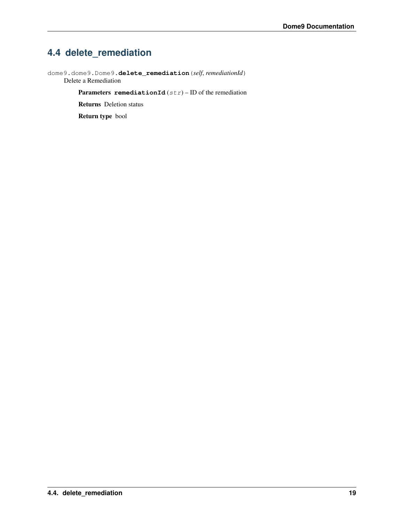# <span id="page-22-0"></span>**4.4 delete\_remediation**

dome9.dome9.Dome9.**delete\_remediation**(*self*, *remediationId*) Delete a Remediation

Parameters **remediationId** (str) – ID of the remediation

Returns Deletion status

Return type bool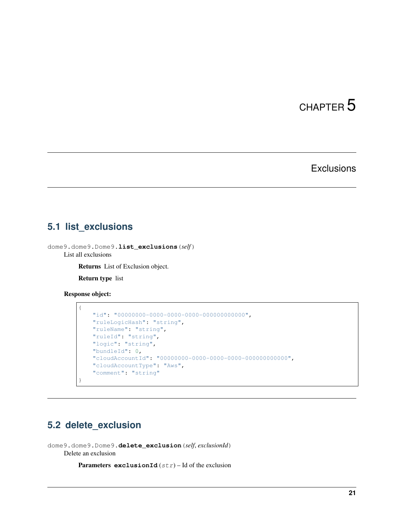# **Exclusions**

### <span id="page-24-1"></span><span id="page-24-0"></span>**5.1 list\_exclusions**

dome9.dome9.Dome9.**list\_exclusions**(*self*) List all exclusions

Returns List of Exclusion object.

Return type list

Response object:

{

}

```
"id": "00000000-0000-0000-0000-000000000000",
"ruleLogicHash": "string",
"ruleName": "string",
"ruleId": "string",
"logic": "string",
"bundleId": 0,
"cloudAccountId": "00000000-0000-0000-0000-000000000000",
"cloudAccountType": "Aws",
"comment": "string"
```
## <span id="page-24-2"></span>**5.2 delete\_exclusion**

dome9.dome9.Dome9.**delete\_exclusion**(*self*, *exclusionId*) Delete an exclusion

Parameters **exclusionId** (str) – Id of the exclusion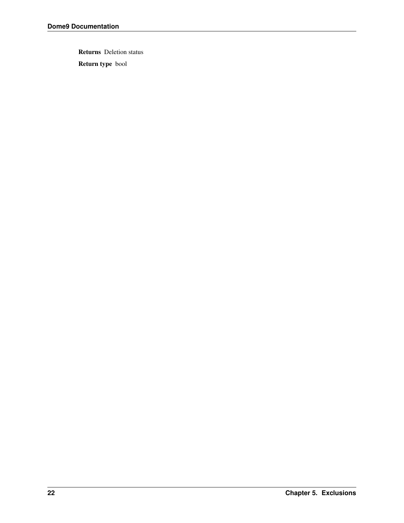Returns Deletion status

Return type bool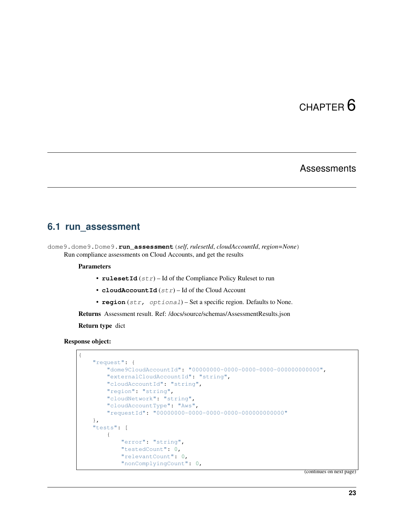#### **Assessments**

#### <span id="page-26-1"></span><span id="page-26-0"></span>**6.1 run\_assessment**

```
dome9.dome9.Dome9.run_assessment(self, rulesetId, cloudAccountId, region=None)
     Run compliance assessments on Cloud Accounts, and get the results
```
#### **Parameters**

- **rulesetId**  $(str)$  Id of the Compliance Policy Ruleset to run
- **cloudAccountId** (str) Id of the Cloud Account
- **region** (str, optional) Set a specific region. Defaults to None.

Returns Assessment result. Ref: /docs/source/schemas/AssessmentResults.json

Return type dict

#### Response object:

```
{
   "request": {
       "dome9CloudAccountId": "00000000-0000-0000-0000-000000000000",
        "externalCloudAccountId": "string",
        "cloudAccountId": "string",
        "region": "string",
        "cloudNetwork": "string",
        "cloudAccountType": "Aws",
        "requestId": "00000000-0000-0000-0000-000000000000"
   },
   "tests": [
        {
            "error": "string",
            "testedCount": 0,
            "relevantCount": 0,
            "nonComplyingCount": 0,
```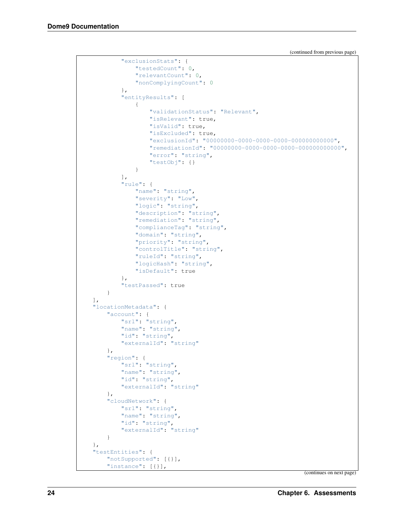```
"exclusionStats": {
            "testedCount": 0,
            "relevantCount": 0,
            "nonComplyingCount": 0
        },
        "entityResults": [
            {
                "validationStatus": "Relevant",
                "isRelevant": true,
                "isValid": true,
                "isExcluded": true,
                "exclusionId": "00000000-0000-0000-0000-000000000000",
                "remediationId": "00000000-0000-0000-0000-000000000000",
                "error": "string",
                "testObj": {}
            }
        ],
        "rule": {
            "name": "string",
            "severity": "Low",
            "logic": "string",
            "description": "string",
            "remediation": "string",
            "complianceTag": "string",
            "domain": "string",
            "priority": "string",
            "controlTitle": "string",
            "ruleId": "string",
            "logicHash": "string",
            "isDefault": true
        },
        "testPassed": true
    }
],
"locationMetadata": {
    "account": {
        "srl": "string",
        "name": "string",
        "id": "string",
        "externalId": "string"
    },
    "region": {
        "srl": "string",
        "name": "string",
        "id": "string",
        "externalId": "string"
    },
    "cloudNetwork": {
        "srl": "string",
        "name": "string",
        "id": "string",
        "externalId": "string"
    }
},
"testEntities": {
    "notSupported": [{}],
    "instance": [{}],
```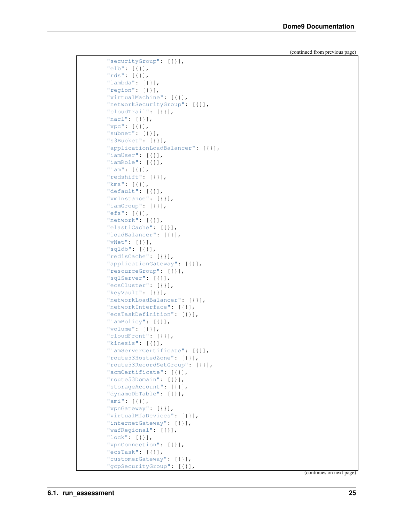| "securityGroup": [{}],                         |
|------------------------------------------------|
| $"elb": [{}]$                                  |
| " $rds$ ": $[\{\}]$ ,                          |
| "lambda": $[\{\}]$ ,                           |
| "region": [{}],                                |
| "virtualMachine": [{}],                        |
| "networkSecurityGroup": [{}],                  |
| "cloudTrail": [{}],                            |
| "nacl": $[\{\}]$ ,                             |
| " $vpc$ ": [{}],                               |
| "subnet": $[\{\}]$ ,                           |
| "s3Bucket": [{}],                              |
| "applicationLoadBalancer": [{}],               |
|                                                |
| "iamUser": $[\{\}]$ ,<br>"iamRole": $[\{\}]$ , |
| "iam": $[\{\}]$ ,                              |
|                                                |
| "redshift": [{}],                              |
| " $km s$ ": [{}],                              |
| "default": $[\{\}]$ ,                          |
| "vmInstance": [{}],                            |
| "iamGroup": [{}],                              |
| "efs": $[\{\}]$ ,                              |
| "network": $[\{\}]$ ,                          |
| "elastiCache": [{}],                           |
| "loadBalancer": [{}],                          |
| "vNet": $[\{\}]$ ,                             |
| " $sgldb$ ": [{}],                             |
| "redisCache": [{}],                            |
| "applicationGateway": [{}],                    |
| "resourceGroup": [{}],                         |
| "sqlServer": [{}],                             |
| "ecsCluster": [{}],                            |
| "keyVault": [{}],                              |
| "networkLoadBalancer": [{}],                   |
| "networkInterface": [{}],                      |
| "ecsTaskDefinition": [{}],                     |
| "iamPolicy": [{}],                             |
| "volume": $[\{\}]$ ,                           |
| "cloudFront": [{}],                            |
| "kinesis": $[\{\}]$ ,                          |
| "iamServerCertificate": [{}],                  |
| "route53HostedZone": [{}],                     |
| "route53RecordSetGroup": [{}],                 |
| "acmCertificate": [{}],                        |
| "route53Domain": [{}],                         |
| "storageAccount": [{}],                        |
| "dynamoDbTable": [{}],                         |
| "ami": $[\{\}]$ ,                              |
| "vpnGateway": [{}],                            |
| "virtualMfaDevices": [{}],                     |
| "internetGateway": [{}],                       |
| "wafRegional": [{}],                           |
| "lock": $[\{\}]$ ,                             |
| "vpnConnection": [{}],                         |
| "ecsTask": $[\{\}]$ ,                          |
| "customerGateway": [{}],                       |
| "gcpSecurityGroup": [{}],                      |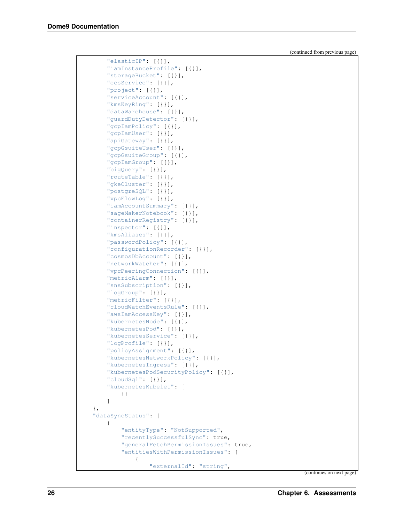```
"elasticIP": [{}],
    "iamInstanceProfile": [{}],
    "storageBucket": [{}],
    "ecsService": [{}],
    "project": [{}],
    "serviceAccount": [{}],
    "kmsKeyRing": [{}],
    "dataWarehouse": [{}],
    "guardDutyDetector": [{}],
    "gcpIamPolicy": [{}],
    "gcpIamUser": [{}],
    "apiGateway": [{}],
    "gcpGsuiteUser": [{}],
    "gcpGsuiteGroup": [{}],
    "gcpIamGroup": [{}],
    "bigQuery": [{}],
    "routeTable": [{}],
    "gkeCluster": [{}],
    "postgreSQL": [{}],
    "vpcFlowLog": [{}],
    "iamAccountSummary": [{}],
    "sageMakerNotebook": [{}],
    "containerRegistry": [{}],
    "inspector": [{}],
    "kmsAliases": [{}],
    "passwordPolicy": [{}],
    "configurationRecorder": [{}],
    "cosmosDbAccount": [{}],
    "networkWatcher": [{}],
    "vpcPeeringConnection": [{}],
    "metricAlarm": [{}],
    "snsSubscription": [{}],
    "logGroup": [{}],
    "metricFilter": [{}],
    "cloudWatchEventsRule": [{}],
    "awsIamAccessKey": [{}],
    "kubernetesNode": [{}],
    "kubernetesPod": [{}],
    "kubernetesService": [{}],
    "logProfile": [{}],
    "policyAssignment": [{}],
    "kubernetesNetworkPolicy": [{}],
    "kubernetesIngress": [{}],
    "kubernetesPodSecurityPolicy": [{}],
    "cloudSql": [{}],
    "kubernetesKubelet": [
        {}
    ]
},
"dataSyncStatus": [
    {
        "entityType": "NotSupported",
        "recentlySuccessfulSync": true,
        "generalFetchPermissionIssues": true,
        "entitiesWithPermissionIssues": [
            {
                "externalId": "string",
```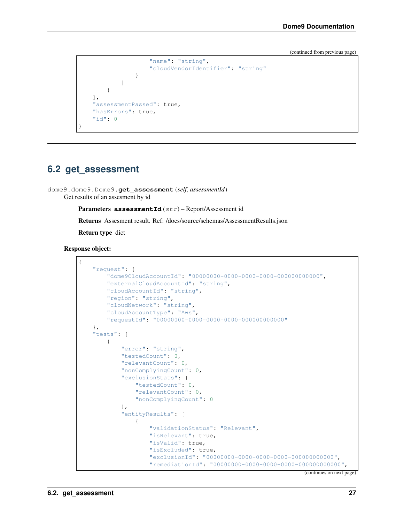```
"name": "string",
                 "cloudVendorIdentifier": "string"
            }
        ]
    }
],
"assessmentPassed": true,
"hasErrors": true,
"id": 0
```
#### <span id="page-30-0"></span>**6.2 get\_assessment**

}

dome9.dome9.Dome9.**get\_assessment**(*self*, *assessmentId*) Get results of an assesment by id

Parameters assessmentId (str) - Report/Assessment id

Returns Assesment result. Ref: /docs/source/schemas/AssessmentResults.json

Return type dict

Response object:

```
{
    "request": {
        "dome9CloudAccountId": "00000000-0000-0000-0000-000000000000",
        "externalCloudAccountId": "string",
        "cloudAccountId": "string",
        "region": "string",
        "cloudNetwork": "string",
        "cloudAccountType": "Aws",
        "requestId": "00000000-0000-0000-0000-000000000000"
    },
    "tests": [
        {
            "error": "string",
            "testedCount": 0,
            "relevantCount": 0,
            "nonComplyingCount": 0,
            "exclusionStats": {
                "testedCount": 0,
                "relevantCount": 0,
                "nonComplyingCount": 0
            },
            "entityResults": [
                {
                    "validationStatus": "Relevant",
                    "isRelevant": true,
                    "isValid": true,
                    "isExcluded": true,
                    "exclusionId": "00000000-0000-0000-0000-000000000000",
                    "remediationId": "00000000-0000-0000-0000-000000000000",
```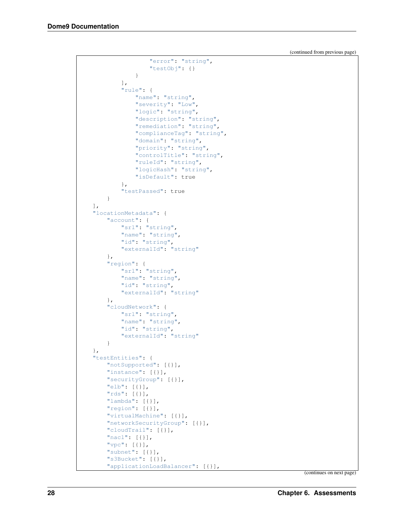```
"error": "string",
                "testObj": {}
            }
        ],
        "rule": {
            "name": "string",
            "severity": "Low",
            "logic": "string",
            "description": "string",
            "remediation": "string",
            "complianceTag": "string",
            "domain": "string",
            "priority": "string",
            "controlTitle": "string",
            "ruleId": "string",
            "logicHash": "string",
            "isDefault": true
        },
        "testPassed": true
   }
],
"locationMetadata": {
    "account": {
       "srl": "string",
       "name": "string",
        "id": "string",
        "externalId": "string"
   },
    "region": {
       "srl": "string",
        "name": "string",
        "id": "string",
        "externalId": "string"
    },
    "cloudNetwork": {
        "srl": "string",
        "name": "string",
        "id": "string",
        "externalId": "string"
   }
},
"testEntities": {
   "notSupported": [{}],
    "instance": [{}],
    "securityGroup": [{}],
    "elb": [{}],
    "rds": [{}],
    "lambda": [{}],
    "region": [{}],
    "virtualMachine": [{}],
    "networkSecurityGroup": [{}],
    "cloudTrail": [{}],
    "nacl": [{}],
    "vpc": [{}],
    "subnet": [{}],
    "s3Bucket": [{}],
    "applicationLoadBalancer": [{}],
```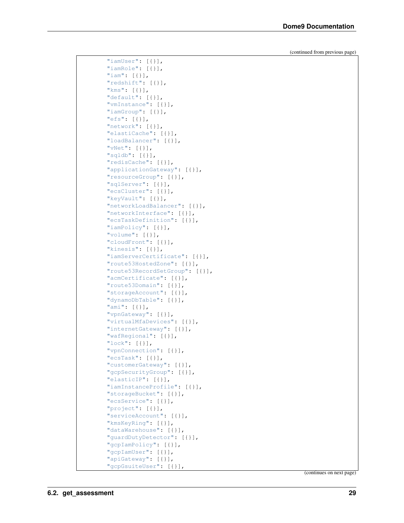| "iamUser": [{}],                                   |
|----------------------------------------------------|
| "iamRole": [{}],                                   |
| " $iam": [{}]$                                     |
| "redshift": [{}],                                  |
| " $km s$ ": $[\{\}]$ ,                             |
| "default": [{}],                                   |
| "vmInstance": [{}],                                |
| "iamGroup": [{}],                                  |
| "efs": $[\{\}]$ ,                                  |
| "network": [{}],                                   |
|                                                    |
| "elastiCache": [{}],                               |
| "loadBalancer": [{}],                              |
| "vNet": $[\{\}]$ ,                                 |
| " $sgldb"$ : [{}],                                 |
| "redisCache": [{}],                                |
| "applicationGateway": [{}],                        |
| "resourceGroup": [{}],                             |
| "sqlServer": [{}],                                 |
| "ecsCluster": [{}],                                |
| "keyVault": [{}],                                  |
|                                                    |
| "networkLoadBalancer": [{}],                       |
| "networkInterface": [{}],                          |
| "ecsTaskDefinition": [{}],                         |
| "iamPolicy": [{}],                                 |
| "volume": $[\{\}]$ ,                               |
| "cloudFront": [{}],                                |
| "kinesis": [{}],                                   |
| "iamServerCertificate": [{}],                      |
| "route53HostedZone": [{}],                         |
| "route53RecordSetGroup": [{}],                     |
|                                                    |
|                                                    |
| "acmCertificate": [{}],                            |
| "route53Domain": [{}],                             |
| "storageAccount": [{}],                            |
| "dynamoDbTable": [{}],                             |
| "ami": [{}],                                       |
| "vpnGateway": [{}],                                |
| "virtualMfaDevices": [{}],                         |
| "internetGateway": [{}],                           |
| "wafRegional": [{}],                               |
|                                                    |
| "lock": $[\{\}]$ ,                                 |
| "vpnConnection": [{}],                             |
| "ecsTask": $[\{\}]$ ,                              |
| "customerGateway": [{}],                           |
| "gcpSecurityGroup": [{}],                          |
| "elasticIP": [{}],                                 |
| "iamInstanceProfile": [{}],                        |
| "storageBucket": [{}],                             |
| "ecsService": [{}],                                |
| "project": [{}],                                   |
| "serviceAccount": [{}],                            |
| "kmsKeyRing": [{}],                                |
| "dataWarehouse": [{}],                             |
|                                                    |
| "guardDutyDetector": [{}],                         |
| "gcpIamPolicy": [{}],                              |
| "gcpIamUser": [{}],                                |
| "apiGateway": $[\{\}]$ ,<br>"gcpGsuiteUser": [{}], |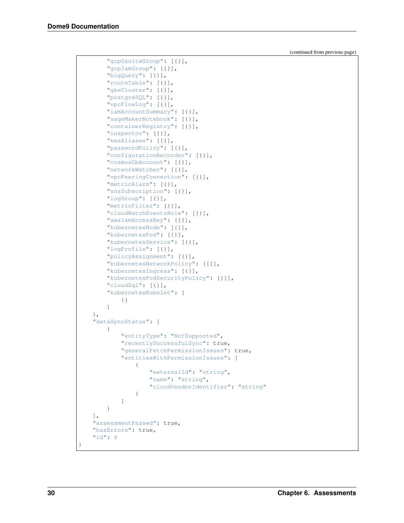```
"gcpGsuiteGroup": [{}],
    "gcpIamGroup": [{}],
    "bigQuery": [{}],
    "routeTable": [{}],
    "gkeCluster": [{}],
    "postgreSQL": [{}],
    "vpcFlowLog": [{}],
    "iamAccountSummary": [{}],
    "sageMakerNotebook": [{}],
    "containerRegistry": [{}],
    "inspector": [{}],
    "kmsAliases": [{}],
    "passwordPolicy": [{}],
    "configurationRecorder": [{}],
    "cosmosDbAccount": [{}],
    "networkWatcher": [{}],
    "vpcPeeringConnection": [{}],
    "metricAlarm": [{}],
    "snsSubscription": [{}],
    "logGroup": [{}],
    "metricFilter": [{}],
    "cloudWatchEventsRule": [{}],
    "awsIamAccessKey": [{}],
    "kubernetesNode": [{}],
    "kubernetesPod": [{}],
    "kubernetesService": [{}],
    "logProfile": [{}],
    "policyAssignment": [{}],
    "kubernetesNetworkPolicy": [{}],
    "kubernetesIngress": [{}],
    "kubernetesPodSecurityPolicy": [{}],
    "cloudSql": [{}],
    "kubernetesKubelet": [
        {}
    ]
},
"dataSyncStatus": [
    {
        "entityType": "NotSupported",
        "recentlySuccessfulSync": true,
        "generalFetchPermissionIssues": true,
        "entitiesWithPermissionIssues": [
            {
                "externalId": "string",
                "name": "string",
                "cloudVendorIdentifier": "string"
            }
        ]
   }
\,,
"assessmentPassed": true,
"hasErrors": true,
"id": 0
```
}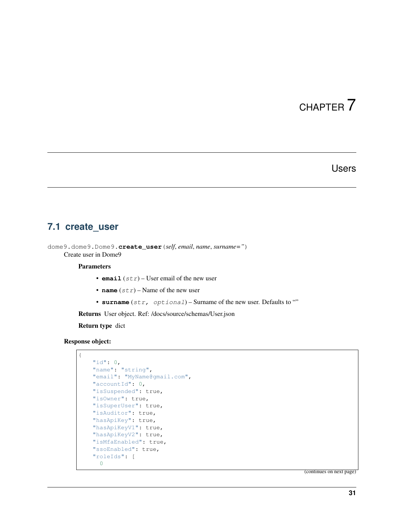#### Users

### <span id="page-34-1"></span><span id="page-34-0"></span>**7.1 create\_user**

dome9.dome9.Dome9.**create\_user**(*self*, *email*, *name*, *surname="*) Create user in Dome9

#### **Parameters**

- **email**  $(str)$  User email of the new user
- **name**  $(str)$  Name of the new user
- **surname** (str, optional) Surname of the new user. Defaults to ""

Returns User object. Ref: /docs/source/schemas/User.json

Return type dict

#### Response object:

```
{
    "id": 0,
    "name": "string",
    "email": "MyName@gmail.com",
   "accountId": 0,
   "isSuspended": true,
   "isOwner": true,
   "isSuperUser": true,
   "isAuditor": true,
   "hasApiKey": true,
   "hasApiKeyV1": true,
   "hasApiKeyV2": true,
   "isMfaEnabled": true,
    "ssoEnabled": true,
    "roleIds": [
      \, \, \,
```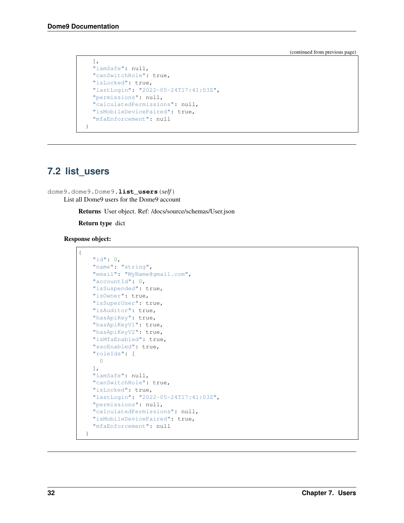```
],
  "iamSafe": null,
 "canSwitchRole": true,
 "isLocked": true,
 "lastLogin": "2022-05-24T17:41:03Z",
  "permissions": null,
  "calculatedPermissions": null,
  "isMobileDevicePaired": true,
  "mfaEnforcement": null
}
```
## <span id="page-35-0"></span>**7.2 list\_users**

dome9.dome9.Dome9.**list\_users**(*self*) List all Dome9 users for the Dome9 account

Returns User object. Ref: /docs/source/schemas/User.json

Return type dict

Response object:

{

```
"id": 0,
 "name": "string",
 "email": "MyName@gmail.com",
 "accountId": 0,
 "isSuspended": true,
 "isOwner": true,
 "isSuperUser": true,
 "isAuditor": true,
 "hasApiKey": true,
 "hasApiKeyV1": true,
 "hasApiKeyV2": true,
 "isMfaEnabled": true,
 "ssoEnabled": true,
 "roleIds": [
   0
 ],
 "iamSafe": null,
 "canSwitchRole": true,
 "isLocked": true,
  "lastLogin": "2022-05-24T17:41:03Z",
  "permissions": null,
  "calculatedPermissions": null,
  "isMobileDevicePaired": true,
  "mfaEnforcement": null
}
```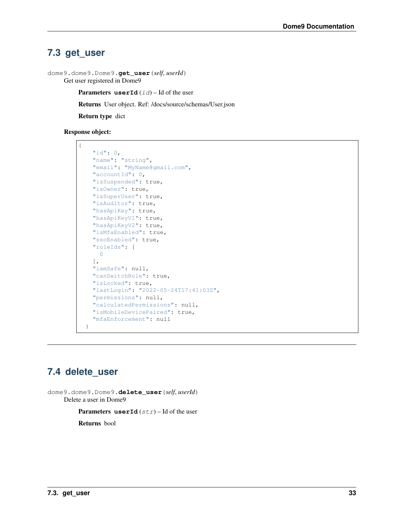# **7.3 get\_user**

```
dome9.dome9.Dome9.get_user(self, userId)
     Get user registered in Dome9
```
**Parameters userId**  $(id)$  – Id of the user

Returns User object. Ref: /docs/source/schemas/User.json

Return type dict

#### Response object:

```
{
    "id": 0,
    "name": "string",
    "email": "MyName@gmail.com",
   "accountId": 0,
   "isSuspended": true,
   "isOwner": true,
   "isSuperUser": true,
   "isAuditor": true,
   "hasApiKey": true,
   "hasApiKeyV1": true,
   "hasApiKeyV2": true,
   "isMfaEnabled": true,
   "ssoEnabled": true,
    "roleIds": [
     0
   \frac{1}{2}"iamSafe": null,
   "canSwitchRole": true,
   "isLocked": true,
   "lastLogin": "2022-05-24T17:41:03Z",
   "permissions": null,
   "calculatedPermissions": null,
    "isMobileDevicePaired": true,
    "mfaEnforcement": null
  }
```
# **7.4 delete\_user**

dome9.dome9.Dome9.**delete\_user**(*self*, *userId*) Delete a user in Dome9

**Parameters userId**  $(str)$  – Id of the user

Returns bool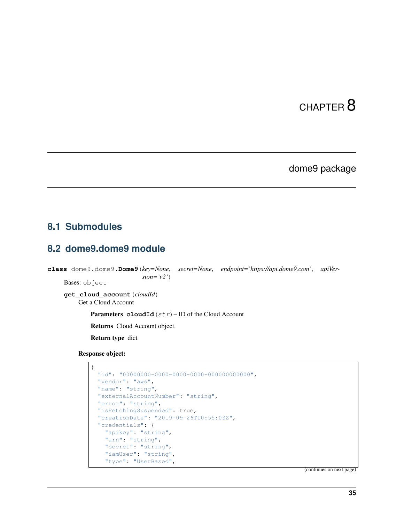# CHAPTER 8

# dome9 package

# **8.1 Submodules**

# **8.2 dome9.dome9 module**

**class** dome9.dome9.**Dome9**(*key=None*, *secret=None*, *endpoint='https://api.dome9.com'*, *apiVersion='v2'*)

Bases: object

**get\_cloud\_account**(*cloudId*)

Get a Cloud Account

Parameters **cloudId** (str) – ID of the Cloud Account

Returns Cloud Account object.

Return type dict

Response object:

```
{
 "id": "00000000-0000-0000-0000-000000000000",
 "vendor": "aws",
 "name": "string",
 "externalAccountNumber": "string",
 "error": "string",
 "isFetchingSuspended": true,
 "creationDate": "2019-09-26T10:55:03Z",
 "credentials": {
    "apikey": "string",
    "arn": "string",
   "secret": "string",
   "iamUser": "string",
   "type": "UserBased",
```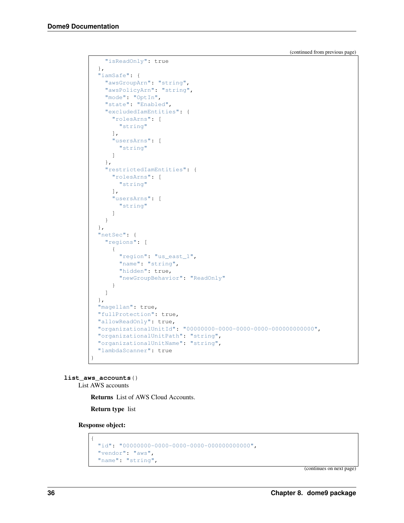```
"isReadOnly": true
  },
  "iamSafe": {
   "awsGroupArn": "string",
    "awsPolicyArn": "string",
    "mode": "OptIn",
    "state": "Enabled",
    "excludedIamEntities": {
     "rolesArns": [
        "string"
     \frac{1}{2},
      "usersArns": [
       "string"
     ]
    },
    "restrictedIamEntities": {
      "rolesArns": [
        "string"
      \frac{1}{2},
      "usersArns": [
        "string"
      ]
    }
 },
  "netSec": {
   "regions": [
      {
        "region": "us_east_1",
        "name": "string",
        "hidden": true,
        "newGroupBehavior": "ReadOnly"
      }
    ]
 },
  "magellan": true,
 "fullProtection": true,
 "allowReadOnly": true,
 "organizationalUnitId": "00000000-0000-0000-0000-000000000000",
 "organizationalUnitPath": "string",
 "organizationalUnitName": "string",
  "lambdaScanner": true
}
```
**list\_aws\_accounts**()

List AWS accounts

Returns List of AWS Cloud Accounts.

Return type list

Response object:

{

```
"id": "00000000-0000-0000-0000-000000000000",
"vendor": "aws",
"name": "string",
```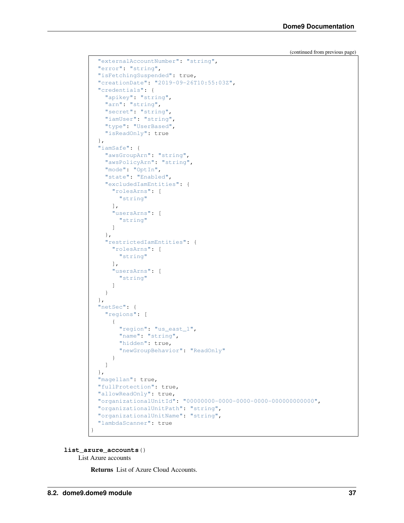```
"externalAccountNumber": "string",
  "error": "string",
 "isFetchingSuspended": true,
 "creationDate": "2019-09-26T10:55:03Z",
  "credentials": {
   "apikey": "string",
   "arn": "string",
   "secret": "string",
   "iamUser": "string",
   "type": "UserBased",
   "isReadOnly": true
 },
 "iamSafe": {
   "awsGroupArn": "string",
   "awsPolicyArn": "string",
   "mode": "OptIn",
   "state": "Enabled",
   "excludedIamEntities": {
      "rolesArns": [
       "string"
     \frac{1}{2},
     "usersArns": [
       "string"
     ]
   },
   "restrictedIamEntities": {
     "rolesArns": [
       "string"
     ],
     "usersArns": [
       "string"
     ]
   }
 },
  "netSec": {
   "regions": [
     {
       "region": "us_east_1",
       "name": "string",
       "hidden": true,
       "newGroupBehavior": "ReadOnly"
     }
   ]
 },
 "magellan": true,
 "fullProtection": true,
 "allowReadOnly": true,
 "organizationalUnitId": "00000000-0000-0000-0000-000000000000",
  "organizationalUnitPath": "string",
 "organizationalUnitName": "string",
  "lambdaScanner": true
}
```
**list\_azure\_accounts**()

List Azure accounts

Returns List of Azure Cloud Accounts.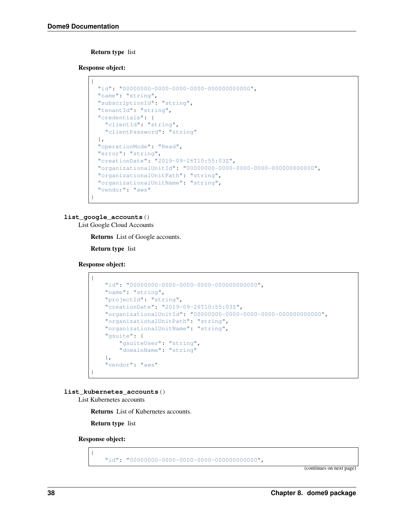### Return type list

Response object:

```
{
 "id": "00000000-0000-0000-0000-000000000000",
 "name": "string",
 "subscriptionId": "string",
 "tenantId": "string",
 "credentials": {
   "clientId": "string",
   "clientPassword": "string"
 },
 "operationMode": "Read",
 "error": "string",
 "creationDate": "2019-09-26T10:55:03Z",
 "organizationalUnitId": "00000000-0000-0000-0000-000000000000",
 "organizationalUnitPath": "string",
 "organizationalUnitName": "string",
 "vendor": "aws"
}
```
### **list\_google\_accounts**()

List Google Cloud Accounts

Returns List of Google accounts.

Return type list

Response object:

{

}

```
"id": "00000000-0000-0000-0000-000000000000",
"name": "string",
"projectId": "string",
"creationDate": "2019-09-26T10:55:03Z",
"organizationalUnitId": "00000000-0000-0000-0000-000000000000",
"organizationalUnitPath": "string",
"organizationalUnitName": "string",
"gsuite": {
    "gsuiteUser": "string",
    "domainName": "string"
},
"vendor": "aws"
```
**list\_kubernetes\_accounts**()

List Kubernetes accounts

Returns List of Kubernetes accounts.

Return type list

Response object:

{

"id": "00000000-0000-0000-0000-000000000000",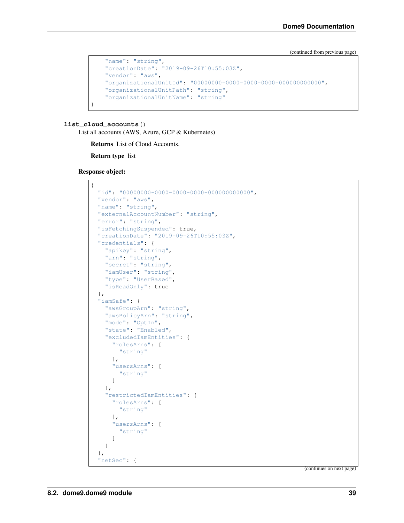```
"name": "string",
"creationDate": "2019-09-26T10:55:03Z",
"vendor": "aws",
"organizationalUnitId": "00000000-0000-0000-0000-000000000000",
"organizationalUnitPath": "string",
"organizationalUnitName": "string"
```
### **list\_cloud\_accounts**()

}

List all accounts (AWS, Azure, GCP & Kubernetes)

Returns List of Cloud Accounts.

Return type list

Response object:

```
{
  "id": "00000000-0000-0000-0000-000000000000",
 "vendor": "aws",
 "name": "string",
 "externalAccountNumber": "string",
 "error": "string",
 "isFetchingSuspended": true,
 "creationDate": "2019-09-26T10:55:03Z",
 "credentials": {
   "apikey": "string",
   "arn": "string",
   "secret": "string",
   "iamUser": "string",
   "type": "UserBased",
   "isReadOnly": true
 },
 "iamSafe": {
   "awsGroupArn": "string",
   "awsPolicyArn": "string",
   "mode": "OptIn",
   "state": "Enabled",
    "excludedIamEntities": {
      "rolesArns": [
        "string"
     \frac{1}{2},
      "usersArns": [
        "string"
      ]
   },
    "restrictedIamEntities": {
      "rolesArns": [
       "string"
     ],
      "usersArns": [
        "string"
      ]
   }
  },
  "netSec": {
```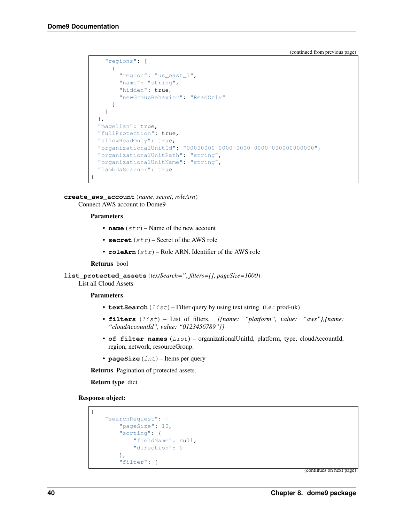```
"regions": [
    {
      "region": "us_east_1",
      "name": "string",
      "hidden": true,
      "newGroupBehavior": "ReadOnly"
    }
  ]
},
"magellan": true,
"fullProtection": true,
"allowReadOnly": true,
"organizationalUnitId": "00000000-0000-0000-0000-000000000000",
"organizationalUnitPath": "string",
"organizationalUnitName": "string",
"lambdaScanner": true
```
**create\_aws\_account**(*name*, *secret*, *roleArn*) Connect AWS account to Dome9

#### Parameters

}

- **name**  $(str)$  Name of the new account
- **secret** (str) Secret of the AWS role
- **roleArn** (str) Role ARN. Identifier of the AWS role

#### Returns bool

**list\_protected\_assets**(*textSearch="*, *filters=[]*, *pageSize=1000*)

List all Cloud Assets

#### Parameters

- **textSearch** (*list*) Filter query by using text string. (i.e.: prod-uk)
- **filters** (list) List of filters. *[{name: "platform", value: "aws"},{name: "cloudAccountId", value: "0123456789"}]*
- **of filter names** (List) organizationalUnitId, platform, type, cloudAccountId, region, network, resourceGroup.
- **pageSize** (int) Items per query

Returns Pagination of protected assets.

Return type dict

Response object:

```
{
    "searchRequest": {
       "pageSize": 10,
        "sorting": {
            "fieldName": null,
            "direction": 0
        },
        "filter": {
```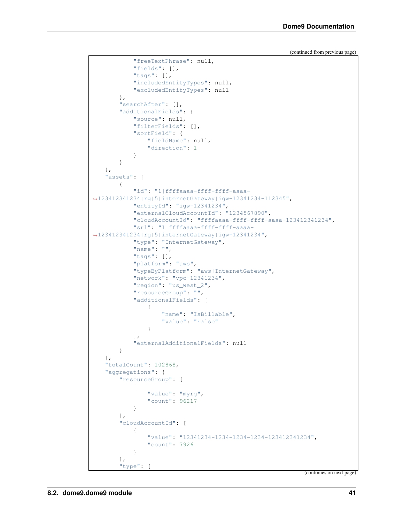```
"freeTextPhrase": null,
            "fields": [],
            "tags": [],
            "includedEntityTypes": null,
            "excludedEntityTypes": null
        },
        "searchAfter": [],
        "additionalFields": {
            "source": null,
            "filterFields": [],
            "sortField": {
                "fieldName": null,
                "direction": 1
            }
       }
   },
    "assets": [
        {
            "id": "1|ffffaaaa-ffff-ffff-aaaa-
˓→123412341234|rg|5|internetGateway|igw-12341234-112345",
            "entityId": "igw-12341234",
            "externalCloudAccountId": "1234567890",
            "cloudAccountId": "ffffaaaa-ffff-ffff-aaaa-123412341234",
            "srl": "1|ffffaaaa-ffff-ffff-aaaa-
˓→123412341234|rg|5|internetGateway|igw-12341234",
            "type": "InternetGateway",
            "name": "",
            "tags": [],
            "platform": "aws",
            "typeByPlatform": "aws|InternetGateway",
            "network": "vpc-12341234",
            "region": "us_west_2",
            "resourceGroup": "",
            "additionalFields": [
                {
                    "name": "IsBillable",
                    "value": "False"
                }
            ],
            "externalAdditionalFields": null
        }
   \frac{1}{2},
   "totalCount": 102868,
    "aggregations": {
        "resourceGroup": [
            {
                "value": "myrg",
                "count": 96217
            }
        \frac{1}{2},
        "cloudAccountId": [
            {
                "value": "12341234-1234-1234-1234-123412341234",
                "count": 7926
            }
        ],
        "type": [
```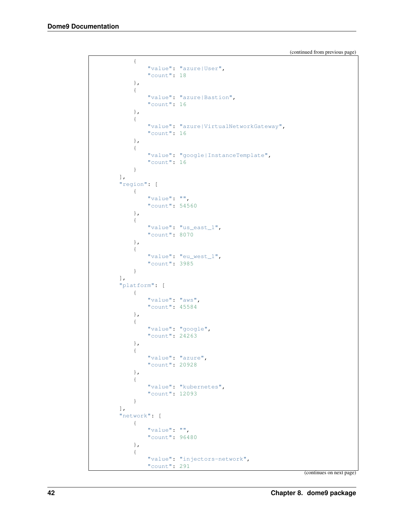```
{
         "value": "azure|User",
         "count": 18
    },
     {
         "value": "azure|Bastion",
         "count": 16
    },
    {
         "value": "azure|VirtualNetworkGateway",
         "count": 16
    },
    {
         "value": "google|InstanceTemplate",
         "count": 16
    }
\frac{1}{2},
"region": [
    {
         "value": "",
         "count": 54560
    },
    {
         "value": "us_east_1",
         "count": 8070
    },
    {
         "value": "eu_west_1",
         "count": 3985
    }
],
"platform": [
    {
         "value": "aws",
         "count": 45584
    },
    {
         "value": "google",
         "count": 24263
    },
    {
         "value": "azure",
         "count": 20928
    },
    {
         "value": "kubernetes",
         "count": 12093
    }
],
"network": [
    \left\{ \begin{array}{c} 1 \end{array} \right\}"value": "",
         "count": 96480
    },
    {
         "value": "injectors-network",
         "count": 291
```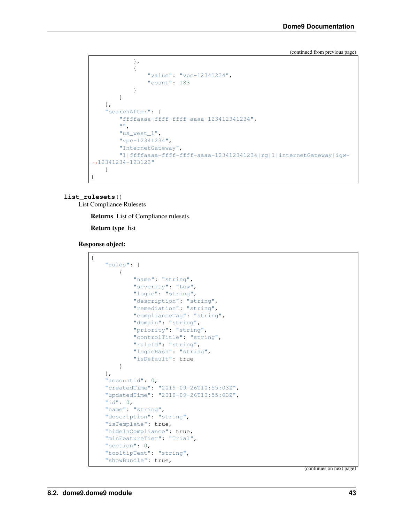```
},
            {
                "value": "vpc-12341234",
                "count": 183
            }
        ]
   },
    "searchAfter": [
       "ffffaaaa-ffff-ffff-aaaa-123412341234",
        "",
       "us_west_1",
        "vpc-12341234",
        "InternetGateway",
        "1|ffffaaaa-ffff-ffff-aaaa-123412341234|rg|1|internetGateway|igw-
-12341234-123123"
   ]
}
```
#### **list\_rulesets**()

List Compliance Rulesets

Returns List of Compliance rulesets.

Return type list

Response object:

```
{
   "rules": [
        {
            "name": "string",
            "severity": "Low",
            "logic": "string",
            "description": "string",
            "remediation": "string",
            "complianceTag": "string",
            "domain": "string",
            "priority": "string",
            "controlTitle": "string",
            "ruleId": "string",
            "logicHash": "string",
            "isDefault": true
        }
   \vert,
    "accountId": 0,
   "createdTime": "2019-09-26T10:55:03Z",
   "updatedTime": "2019-09-26T10:55:03Z",
   "id": 0,
   "name": "string",
   "description": "string",
   "isTemplate": true,
   "hideInCompliance": true,
    "minFeatureTier": "Trial",
   "section": 0,
    "tooltipText": "string",
    "showBundle": true,
```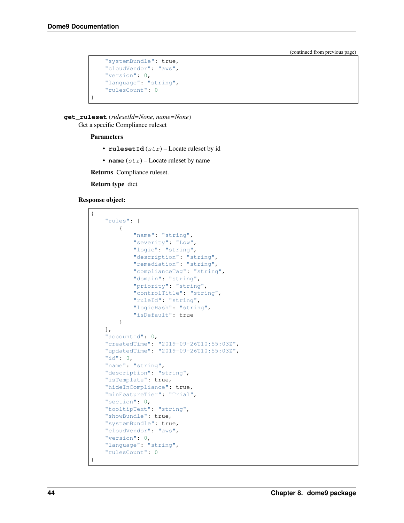```
"systemBundle": true,
"cloudVendor": "aws",
"version": 0,
"language": "string",
"rulesCount": 0
```
**get\_ruleset**(*rulesetId=None*, *name=None*) Get a specific Compliance ruleset

#### Parameters

}

- rulesetId  $(str)$  Locate ruleset by id
- **name**  $(str)$  Locate ruleset by name

Returns Compliance ruleset.

Return type dict

#### Response object:

```
{
    "rules": [
       {
            "name": "string",
            "severity": "Low",
            "logic": "string",
            "description": "string",
            "remediation": "string",
            "complianceTag": "string",
            "domain": "string",
            "priority": "string",
            "controlTitle": "string",
            "ruleId": "string",
            "logicHash": "string",
            "isDefault": true
       }
   ],
   "accountId": 0,
   "createdTime": "2019-09-26T10:55:03Z",
   "updatedTime": "2019-09-26T10:55:03Z",
   "id": 0,
   "name": "string",
   "description": "string",
    "isTemplate": true,
    "hideInCompliance": true,
    "minFeatureTier": "Trial",
   "section": 0,
   "tooltipText": "string",
   "showBundle": true,
   "systemBundle": true,
   "cloudVendor": "aws",
   "version": 0,
    "language": "string",
    "rulesCount": 0
}
```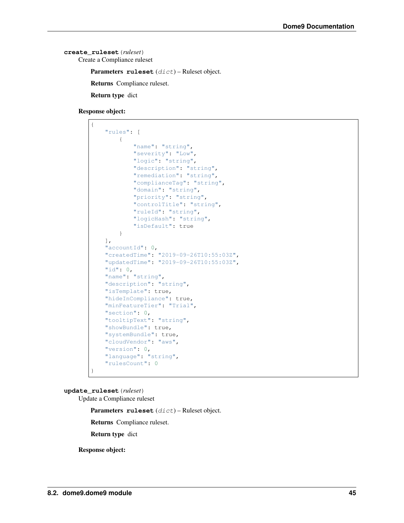```
create_ruleset(ruleset)
    Create a Compliance ruleset
```
Parameters **ruleset** (dict) – Ruleset object.

Returns Compliance ruleset.

Return type dict

Response object:

```
{
    "rules": [
        {
            "name": "string",
            "severity": "Low",
            "logic": "string",
            "description": "string",
            "remediation": "string",
            "complianceTag": "string",
            "domain": "string",
            "priority": "string",
            "controlTitle": "string",
            "ruleId": "string",
            "logicHash": "string",
            "isDefault": true
        }
   \frac{1}{2}"accountId": 0,
   "createdTime": "2019-09-26T10:55:03Z",
   "updatedTime": "2019-09-26T10:55:03Z",
   "id": 0,
   "name": "string",
   "description": "string",
   "isTemplate": true,
   "hideInCompliance": true,
   "minFeatureTier": "Trial",
   "section": 0,
   "tooltipText": "string",
   "showBundle": true,
    "systemBundle": true,
    "cloudVendor": "aws",
   "version": 0,
   "language": "string",
    "rulesCount": 0
}
```
**update\_ruleset**(*ruleset*)

Update a Compliance ruleset

Parameters **ruleset** (dict) – Ruleset object.

Returns Compliance ruleset.

Return type dict

Response object: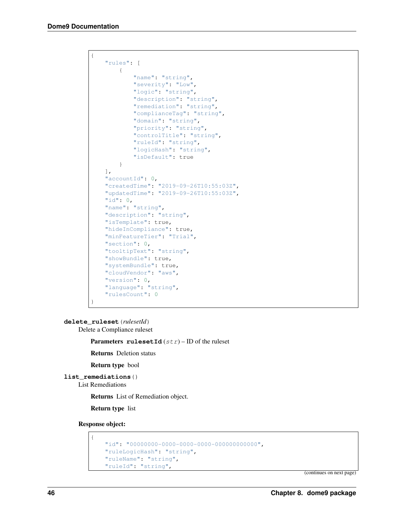```
{
    "rules": [
       {
            "name": "string",
            "severity": "Low",
            "logic": "string",
            "description": "string",
            "remediation": "string",
            "complianceTag": "string",
            "domain": "string",
            "priority": "string",
            "controlTitle": "string",
            "ruleId": "string",
            "logicHash": "string",
            "isDefault": true
        }
   ],
   "accountId": 0,
   "createdTime": "2019-09-26T10:55:03Z",
   "updatedTime": "2019-09-26T10:55:03Z",
   "id": 0,
   "name": "string",
   "description": "string",
   "isTemplate": true,
   "hideInCompliance": true,
    "minFeatureTier": "Trial",
   "section": 0,
    "tooltipText": "string",
    "showBundle": true,
   "systemBundle": true,
   "cloudVendor": "aws",
   "version": 0,
   "language": "string",
   "rulesCount": 0
}
```
**delete\_ruleset**(*rulesetId*)

Delete a Compliance ruleset

**Parameters rulesetId**  $(str)$  – ID of the ruleset

Returns Deletion status

Return type bool

**list\_remediations**()

List Remediations

Returns List of Remediation object.

Return type list

Response object:

```
{
   "id": "00000000-0000-0000-0000-000000000000",
   "ruleLogicHash": "string",
   "ruleName": "string",
    "ruleId": "string",
```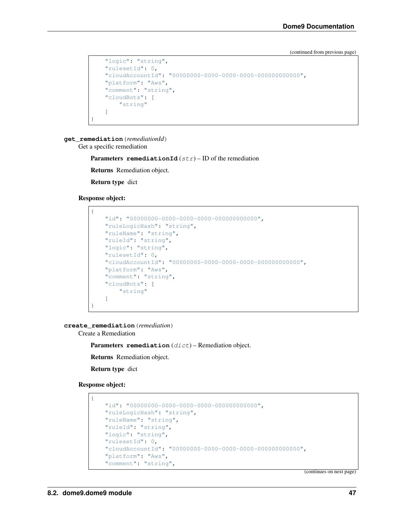```
"logic": "string",
"rulesetId": 0,
"cloudAccountId": "00000000-0000-0000-0000-000000000000",
"platform": "Aws",
"comment": "string",
"cloudBots": [
   "string"
]
```
**get\_remediation**(*remediationId*)

Get a specific remediation

**Parameters remediationId**  $(str)$  – ID of the remediation

Returns Remediation object.

Return type dict

Response object:

}

```
{
   "id": "00000000-0000-0000-0000-000000000000",
   "ruleLogicHash": "string",
   "ruleName": "string",
   "ruleId": "string",
   "logic": "string",
   "rulesetId": 0,
   "cloudAccountId": "00000000-0000-0000-0000-000000000000",
   "platform": "Aws",
   "comment": "string",
   "cloudBots": [
       "string"
   ]
}
```
**create\_remediation**(*remediation*)

Create a Remediation

Parameters remediation (dict) – Remediation object.

Returns Remediation object.

Return type dict

Response object:

{

```
"id": "00000000-0000-0000-0000-000000000000",
"ruleLogicHash": "string",
"ruleName": "string",
"ruleId": "string",
"logic": "string",
"rulesetId": 0,
"cloudAccountId": "00000000-0000-0000-0000-000000000000",
"platform": "Aws",
"comment": "string",
```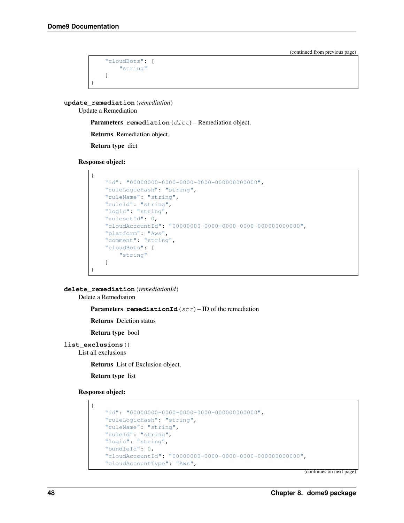```
"cloudBots": [
         "string"
    ]
}
```
**update\_remediation**(*remediation*)

Update a Remediation

Parameters remediation (dict) – Remediation object.

Returns Remediation object.

Return type dict

Response object:

```
{
   "id": "00000000-0000-0000-0000-000000000000",
   "ruleLogicHash": "string",
   "ruleName": "string",
   "ruleId": "string",
   "logic": "string",
   "rulesetId": 0,
   "cloudAccountId": "00000000-0000-0000-0000-000000000000",
   "platform": "Aws",
   "comment": "string",
    "cloudBots": [
       "string"
   ]
}
```
**delete\_remediation**(*remediationId*)

Delete a Remediation

**Parameters remediationId**  $(str)$  – ID of the remediation

Returns Deletion status

Return type bool

```
list_exclusions()
```
List all exclusions

Returns List of Exclusion object.

Return type list

Response object:

{

```
"id": "00000000-0000-0000-0000-000000000000",
"ruleLogicHash": "string",
"ruleName": "string",
"ruleId": "string",
"logic": "string",
"bundleId": 0,
"cloudAccountId": "00000000-0000-0000-0000-000000000000",
"cloudAccountType": "Aws",
```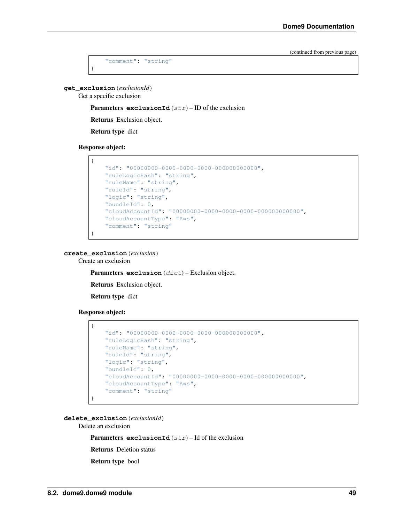```
"comment": "string"
```
**get\_exclusion**(*exclusionId*)

}

Get a specific exclusion

Parameters **exclusionId** (str) – ID of the exclusion

Returns Exclusion object.

Return type dict

Response object:



**create\_exclusion**(*exclusion*)

Create an exclusion

Parameters **exclusion** (dict) – Exclusion object.

Returns Exclusion object.

Return type dict

Response object:

```
{
   "id": "00000000-0000-0000-0000-000000000000",
   "ruleLogicHash": "string",
   "ruleName": "string",
   "ruleId": "string",
   "logic": "string",
   "bundleId": 0,
    "cloudAccountId": "00000000-0000-0000-0000-000000000000",
   "cloudAccountType": "Aws",
    "comment": "string"
}
```
**delete\_exclusion**(*exclusionId*)

Delete an exclusion

**Parameters exclusionId**  $(str) - Id$  of the exclusion

Returns Deletion status

Return type bool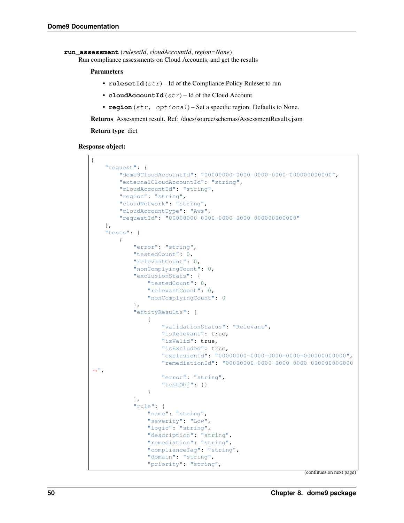```
run_assessment(rulesetId, cloudAccountId, region=None)
```
Run compliance assessments on Cloud Accounts, and get the results

#### Parameters

- **rulesetId** (str) Id of the Compliance Policy Ruleset to run
- **cloudAccountId**  $(str)$  Id of the Cloud Account
- **region** (str, optional) Set a specific region. Defaults to None.

Returns Assessment result. Ref: /docs/source/schemas/AssessmentResults.json

Return type dict

Response object:

```
{
    "request": {
        "dome9CloudAccountId": "00000000-0000-0000-0000-000000000000",
        "externalCloudAccountId": "string",
        "cloudAccountId": "string",
        "region": "string",
        "cloudNetwork": "string",
        "cloudAccountType": "Aws",
        "requestId": "00000000-0000-0000-0000-000000000000"
    },
    "tests": [
        {
            "error": "string",
            "testedCount": 0,
            "relevantCount": 0,
            "nonComplyingCount": 0,
            "exclusionStats": {
                "testedCount": 0,
                "relevantCount": 0,
                "nonComplyingCount": 0
            },
            "entityResults": [
                 {
                     "validationStatus": "Relevant",
                     "isRelevant": true,
                     "isValid": true,
                     "isExcluded": true,
                     "exclusionId": "00000000-0000-0000-0000-000000000000",
                     "remediationId": "00000000-0000-0000-0000-000000000000
\hookrightarrow",
                     "error": "string",
                     "testObj": {}
                }
            \frac{1}{2},
            "rule": {
                 "name": "string",
                 "severity": "Low",
                 "logic": "string",
                 "description": "string",
                 "remediation": "string",
                 "complianceTag": "string",
                 "domain": "string",
                 "priority": "string",
```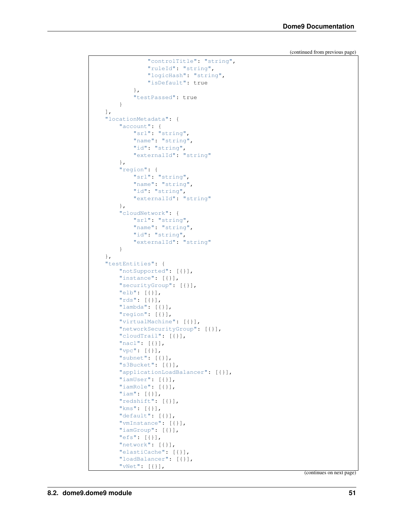```
"controlTitle": "string",
            "ruleId": "string",
            "logicHash": "string",
            "isDefault": true
        },
        "testPassed": true
    }
\vert,
"locationMetadata": {
    "account": {
        "srl": "string",
        "name": "string",
        "id": "string",
        "externalId": "string"
    },
    "region": {
        "srl": "string",
        "name": "string",
        "id": "string",
        "externalId": "string"
    },
    "cloudNetwork": {
        "srl": "string",
        "name": "string",
        "id": "string",
        "externalId": "string"
    }
},
"testEntities": {
   "notSupported": [{}],
   "instance": [{}],
   "securityGroup": [{}],
    "elb": [{}],
    "rds": [{}],
    "lambda": [{}],
    "region": [{}],
    "virtualMachine": [{}],
    "networkSecurityGroup": [{}],
    "cloudTrail": [{}],
    "nacl": [{}],
    "vpc": [{}],
    "subnet": [{}],
    "s3Bucket": [{}],
    "applicationLoadBalancer": [{}],
    "iamUser": [{}],
    "iamRole": [{}],
    "iam": [{}],
    "redshift": [{}],
    "kms": [{}],
    "default": [{}],
    "vmInstance": [{}],
    "iamGroup": [{}],
    "efs": [{}],
    "network": [{}],
    "elastiCache": [{}],
    "loadBalancer": [{}],
    "vNet": [{}],
```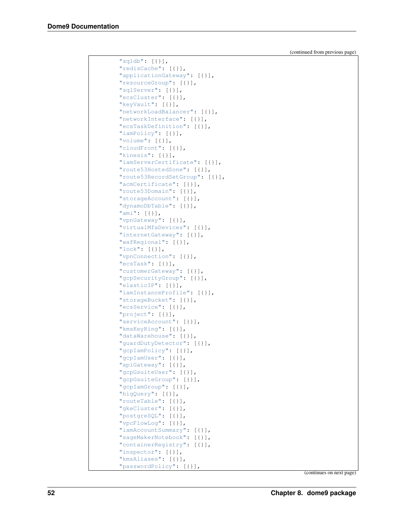| " $sgldb"$ : [{}],             |
|--------------------------------|
| "redisCache": [{}],            |
| "applicationGateway": [{}],    |
| "resourceGroup": [{}],         |
| "sqlServer": [{}],             |
| "ecsCluster": [{}],            |
| "keyVault": [{}],              |
| "networkLoadBalancer": [{}],   |
| "networkInterface": [{}],      |
| "ecsTaskDefinition": [{}],     |
| "iamPolicy": [{}],             |
| "volume": $[\{\}]$ ,           |
| "cloudFront": [{}],            |
| "kinesis": $[\{\}]$ ,          |
|                                |
| "iamServerCertificate": [{}],  |
| "route53HostedZone": [{}],     |
| "route53RecordSetGroup": [{}], |
| "acmCertificate": [{}],        |
| "route53Domain": [{}],         |
| "storageAccount": [{}],        |
| "dynamoDbTable": [{}],         |
| "ami": $[\{\}]$ ,              |
| "vpnGateway": [{}],            |
| "virtualMfaDevices": [{}],     |
| "internetGateway": [{}],       |
| "wafRegional": [{}],           |
| "lock": $[\{\}]$ ,             |
| "vpnConnection": [{}],         |
| "ecsTask": $[\{\}]$ ,          |
| "customerGateway": [{}],       |
| "gcpSecurityGroup": [{}],      |
| "elasticIP": [{}],             |
| "iamInstanceProfile": [{}],    |
| "storageBucket": [{}],         |
| "ecsService": [{}],            |
| "project": [{}],               |
| "serviceAccount": [{}],        |
| "kmsKeyRing": [{}],            |
| "dataWarehouse": [{}],         |
|                                |
| "guardDutyDetector": [{}],     |
| "gcpIamPolicy": [{}],          |
| "gcpIamUser": [{}],            |
| "apiGateway": [{}],            |
| "gcpGsuiteUser": [{}],         |
| "gcpGsuiteGroup": [{}],        |
| "gcpIamGroup": [{}],           |
| "bigQuery": [{}],              |
| "routeTable": [{}],            |
| "qkeCluster": [{}],            |
| "postgreSQL": [{}],            |
| "vpcFlowLog": [{}],            |
| "iamAccountSummary": [{}],     |
| "sageMakerNotebook": [{}],     |
| "containerRegistry": [{}],     |
| "inspector": [{}],             |
| "kmsAliases": [{}],            |
| "passwordPolicy": [{}],        |
|                                |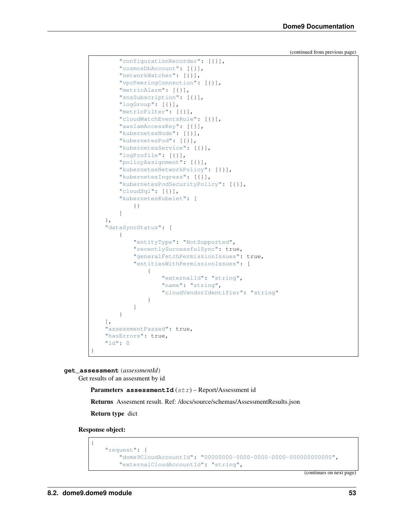```
"configurationRecorder": [{}],
    "cosmosDbAccount": [{}],
    "networkWatcher": [{}],
    "vpcPeeringConnection": [{}],
    "metricAlarm": [{}],
    "snsSubscription": [{}],
    "logGroup": [{}],
    "metricFilter": [{}],
    "cloudWatchEventsRule": [{}],
    "awsIamAccessKey": [{}],
    "kubernetesNode": [{}],
    "kubernetesPod": [{}],
    "kubernetesService": [{}],
    "logProfile": [{}],
    "policyAssignment": [{}],
    "kubernetesNetworkPolicy": [{}],
    "kubernetesIngress": [{}],
    "kubernetesPodSecurityPolicy": [{}],
    "cloudSql": [{}],
    "kubernetesKubelet": [
        {}
    ]
},
"dataSyncStatus": [
    {
        "entityType": "NotSupported",
        "recentlySuccessfulSync": true,
        "generalFetchPermissionIssues": true,
        "entitiesWithPermissionIssues": [
            {
                "externalId": "string",
                "name": "string",
                "cloudVendorIdentifier": "string"
            }
        ]
    }
\vert,
"assessmentPassed": true,
"hasErrors": true,
"id": 0
```
**get\_assessment**(*assessmentId*)

}

Get results of an assesment by id

Parameters **assessmentId** (str) – Report/Assessment id

Returns Assesment result. Ref: /docs/source/schemas/AssessmentResults.json

Return type dict

Response object:

{

```
"request": {
    "dome9CloudAccountId": "00000000-0000-0000-0000-000000000000",
    "externalCloudAccountId": "string",
```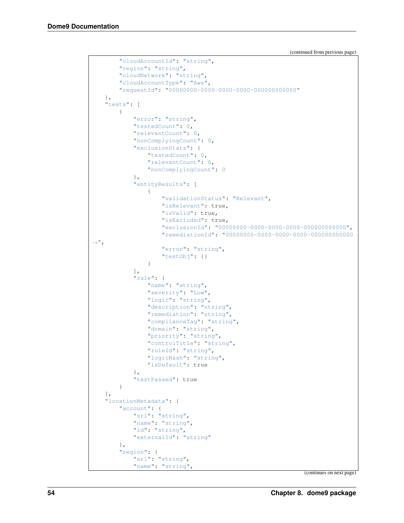```
(continued from previous page)
```

```
"cloudAccountId": "string",
        "region": "string",
        "cloudNetwork": "string",
        "cloudAccountType": "Aws",
        "requestId": "00000000-0000-0000-0000-000000000000"
   },
   "tests": [
        {
            "error": "string",
            "testedCount": 0,
            "relevantCount": 0,
            "nonComplyingCount": 0,
            "exclusionStats": {
                "testedCount": 0,
                "relevantCount": 0,
                "nonComplyingCount": 0
            },
            "entityResults": [
                {
                     "validationStatus": "Relevant",
                     "isRelevant": true,
                     "isValid": true,
                     "isExcluded": true,
                     "exclusionId": "00000000-0000-0000-0000-000000000000",
                     "remediationId": "00000000-0000-0000-0000-000000000000
\hookrightarrow",
                     "error": "string",
                     "testObj": {}
                }
            \frac{1}{\sqrt{2}}"rule": {
                "name": "string",
                "severity": "Low",
                "logic": "string",
                "description": "string",
                "remediation": "string",
                "complianceTag": "string",
                "domain": "string",
                "priority": "string",
                "controlTitle": "string",
                "ruleId": "string",
                "logicHash": "string",
                "isDefault": true
            },
            "testPassed": true
        }
   \frac{1}{\sqrt{2}}"locationMetadata": {
        "account": {
            "srl": "string",
            "name": "string",
            "id": "string",
            "externalId": "string"
        },
        "region": {
            "srl": "string",
            "name": "string",
```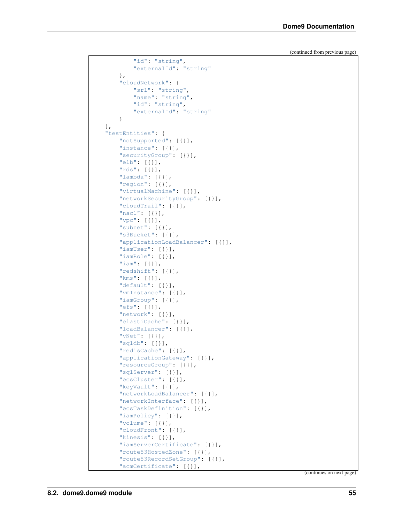```
"id": "string",
        "externalId": "string"
    },
    "cloudNetwork": {
        "srl": "string",
        "name": "string",
        "id": "string",
        "externalId": "string"
    }
},
"testEntities": {
   "notSupported": [{}],
   "instance": [{}],
   "securityGroup": [{}],
    "elb": [{}],
    "rds": [{}],
    "lambda": [{}],
    "region": [{}],
    "virtualMachine": [{}],
    "networkSecurityGroup": [{}],
    "cloudTrail": [{}],
    "nacl": [{}],
    "vpc": [{}],
    "subnet": [{}],
    "s3Bucket": [{}],
    "applicationLoadBalancer": [{}],
    "iamUser": [{}],
    "iamRole": [{}],
    "iam": [{}],
    "redshift": [{}],
    "kms": [{}],
    "default": [{}],
    "vmInstance": [{}],
    "iamGroup": [{}],
    "efs": [{}],
    "network": [{}],
    "elastiCache": [{}],
    "loadBalancer": [{}],
    "vNet": [{}],
    "sqldb": [{}],
    "redisCache": [{}],
    "applicationGateway": [{}],
    "resourceGroup": [{}],
    "sqlServer": [{}],
    "ecsCluster": [{}],
    "keyVault": [{}],
    "networkLoadBalancer": [{}],
    "networkInterface": [{}],
    "ecsTaskDefinition": [{}],
    "iamPolicy": [{}],
    "volume": [{}],
    "cloudFront": [{}],
    "kinesis": [{}],
    "iamServerCertificate": [{}],
    "route53HostedZone": [{}],
    "route53RecordSetGroup": [{}],
    "acmCertificate": [{}],
```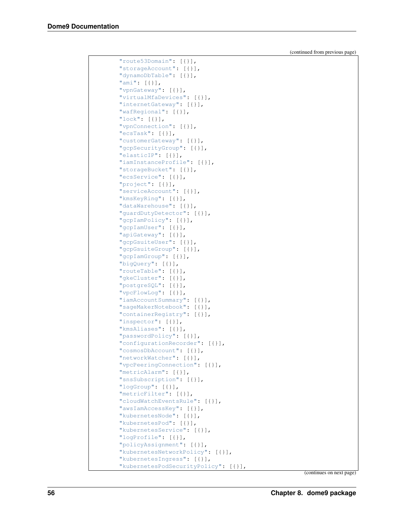| "route53Domain": [{}],                                             |
|--------------------------------------------------------------------|
| "storageAccount": [{}],                                            |
| "dynamoDbTable": [{}],                                             |
| "ami": $[\{\}]$ ,                                                  |
|                                                                    |
| "vpnGateway": [{}],                                                |
| "virtualMfaDevices": [{}],                                         |
| "internetGateway": [{}],                                           |
| "wafRegional": [{}],                                               |
| "lock": $[\{\}]$ ,                                                 |
| "vpnConnection": [{}],                                             |
| "ecsTask": $[\{\}]$ ,                                              |
| "customerGateway": [{}],                                           |
| "gcpSecurityGroup": [{}],                                          |
| "elasticIP": [{}],                                                 |
| "iamInstanceProfile": [{}],                                        |
| "storageBucket": [{}],                                             |
| "ecsService": [{}],                                                |
| "project": [{}],                                                   |
| "serviceAccount": [{}],                                            |
| "kmsKeyRing": [{}],                                                |
| "dataWarehouse": [{}],                                             |
| "guardDutyDetector": [{}],                                         |
| "gcpIamPolicy": [{}],                                              |
| "gcpIamUser": [{}],                                                |
| "apiGateway": [{}],                                                |
| "gcpGsuiteUser": [{}],                                             |
| "gcpGsuiteGroup": [{}],                                            |
| "gcpIamGroup": [{}],                                               |
| "bigQuery": $[\{\}]$ ,                                             |
| "routeTable": [{}],                                                |
| "gkeCluster": [{}],                                                |
| "postgreSQL": [{}],                                                |
| "vpcFlowLog": [{}],                                                |
| "iamAccountSummary": [{}],                                         |
| "sageMakerNotebook": [{}],                                         |
| "containerRegistry": [{}],                                         |
| "inspector": [{}],                                                 |
| " $kms$ Aliases": $[\{\}]$ ,                                       |
| "passwordPolicy": [{}],                                            |
| "configurationRecorder": [{}],                                     |
| "cosmosDbAccount": [{}],                                           |
| "networkWatcher": [{}],                                            |
| "vpcPeeringConnection": [{}],                                      |
| "metricAlarm": [{}],                                               |
| "snsSubscription": [{}],                                           |
| "logGroup": $[\{\}]$ ,                                             |
| "metricFilter": [{}],<br>"cloudWatchEventsRule": [{}],             |
|                                                                    |
| "awsIamAccessKey": [{}],                                           |
| "kubernetesNode": [{}],                                            |
| "kubernetesPod": [{}],                                             |
| "kubernetesService": [{}],                                         |
| "logProfile": [{}],                                                |
| "policyAssignment": [{}],                                          |
| "kubernetesNetworkPolicy": [{}],                                   |
| "kubernetesIngress": [{}],<br>"kubernetesPodSecurityPolicy": [{}], |
|                                                                    |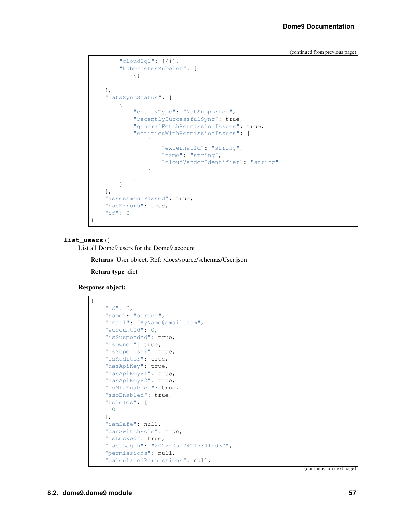```
"cloudSql": [{}],
        "kubernetesKubelet": [
            {}
        ]
   },
   "dataSyncStatus": [
        {
            "entityType": "NotSupported",
            "recentlySuccessfulSync": true,
            "generalFetchPermissionIssues": true,
            "entitiesWithPermissionIssues": [
                {
                    "externalId": "string",
                    "name": "string",
                    "cloudVendorIdentifier": "string"
                }
            ]
        }
   ],
    "assessmentPassed": true,
    "hasErrors": true,
    "id": 0
}
```
#### **list\_users**()

List all Dome9 users for the Dome9 account

Returns User object. Ref: /docs/source/schemas/User.json

Return type dict

```
Response object:
```
{

```
"id": 0,
"name": "string",
"email": "MyName@gmail.com",
"accountId": 0,
"isSuspended": true,
"isOwner": true,
"isSuperUser": true,
"isAuditor": true,
"hasApiKey": true,
"hasApiKeyV1": true,
"hasApiKeyV2": true,
"isMfaEnabled": true,
"ssoEnabled": true,
"roleIds": [
 0
\frac{1}{2}"iamSafe": null,
"canSwitchRole": true,
"isLocked": true,
"lastLogin": "2022-05-24T17:41:03Z",
"permissions": null,
"calculatedPermissions": null,
```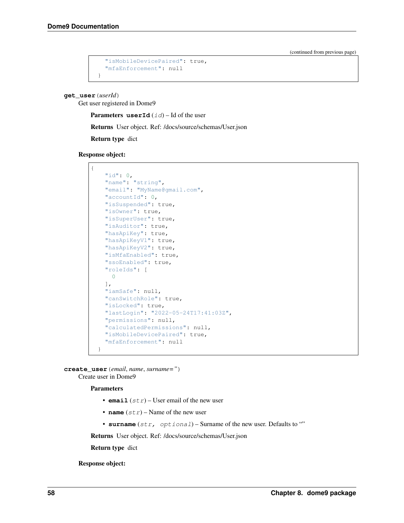```
"isMobileDevicePaired": true,
  "mfaEnforcement": null
}
```
**get\_user**(*userId*)

Get user registered in Dome9

**Parameters userId**  $(id)$  – Id of the user

Returns User object. Ref: /docs/source/schemas/User.json

Return type dict

Response object:



**create\_user**(*email*, *name*, *surname="*) Create user in Dome9

Parameters

- **email**  $(str)$  User email of the new user
- **name**  $(str)$  Name of the new user
- **surname** (str, optional) Surname of the new user. Defaults to ""

Returns User object. Ref: /docs/source/schemas/User.json

Return type dict

Response object: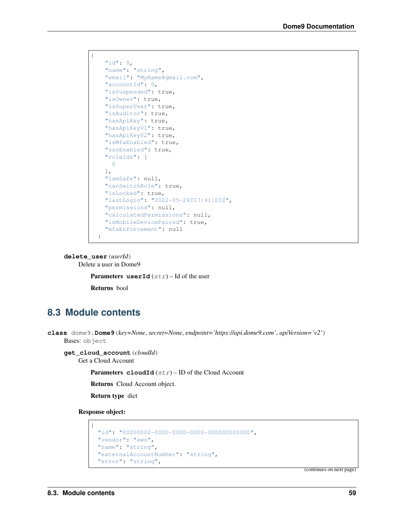```
{
   "id": 0,
   "name": "string",
   "email": "MyName@gmail.com",
   "accountId": 0,
   "isSuspended": true,
   "isOwner": true,
   "isSuperUser": true,
   "isAuditor": true,
   "hasApiKey": true,
   "hasApiKeyV1": true,
   "hasApiKeyV2": true,
   "isMfaEnabled": true,
   "ssoEnabled": true,
    "roleIds": [
     0
   \,,
   "iamSafe": null,
   "canSwitchRole": true,
   "isLocked": true,
   "lastLogin": "2022-05-24T17:41:03Z",
   "permissions": null,
   "calculatedPermissions": null,
    "isMobileDevicePaired": true,
    "mfaEnforcement": null
  }
```
### **delete\_user**(*userId*)

Delete a user in Dome9

**Parameters** userId  $(str)$  – Id of the user

Returns bool

## **8.3 Module contents**

```
class dome9.Dome9(key=None, secret=None, endpoint='https://api.dome9.com', apiVersion='v2')
     Bases: object
```

```
get_cloud_account(cloudId)
```
Get a Cloud Account

**Parameters cloudId**  $(str)$  – ID of the Cloud Account

Returns Cloud Account object.

Return type dict

Response object:

```
{
  "id": "00000000-0000-0000-0000-000000000000",
 "vendor": "aws",
 "name": "string",
 "externalAccountNumber": "string",
  "error": "string",
```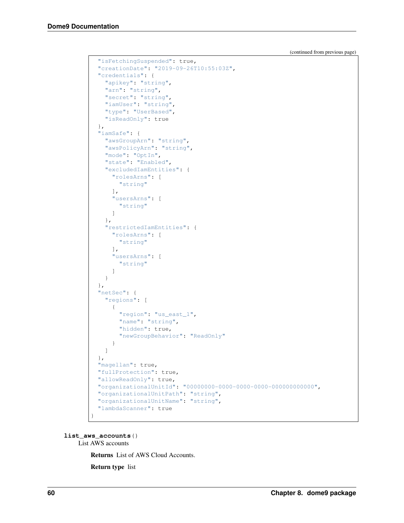```
"isFetchingSuspended": true,
 "creationDate": "2019-09-26T10:55:03Z",
 "credentials": {
   "apikey": "string",
   "arn": "string",
   "secret": "string",
   "iamUser": "string",
   "type": "UserBased",
   "isReadOnly": true
 },
 "iamSafe": {
   "awsGroupArn": "string",
   "awsPolicyArn": "string",
   "mode": "OptIn",
   "state": "Enabled",
   "excludedIamEntities": {
      "rolesArns": [
       "string"
     ],
     "usersArns": [
       "string"
     ]
   },
   "restrictedIamEntities": {
     "rolesArns": [
       "string"
     ],
     "usersArns": [
       "string"
     ]
   }
 },
 "netSec": {
   "regions": [
     {
       "region": "us_east_1",
       "name": "string",
       "hidden": true,
       "newGroupBehavior": "ReadOnly"
     }
   ]
 },
 "magellan": true,
 "fullProtection": true,
 "allowReadOnly": true,
 "organizationalUnitId": "00000000-0000-0000-0000-000000000000",
 "organizationalUnitPath": "string",
 "organizationalUnitName": "string",
 "lambdaScanner": true
}
```
**list\_aws\_accounts**() List AWS accounts

Returns List of AWS Cloud Accounts.

Return type list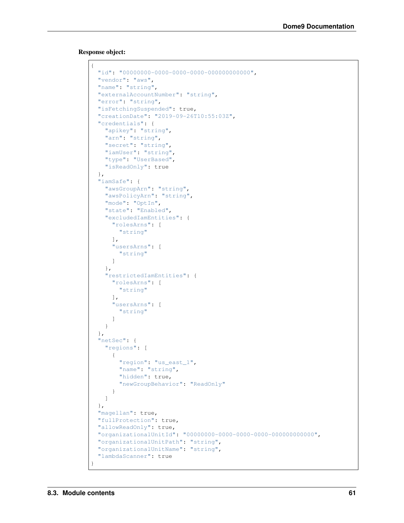Response object:

```
{
  "id": "00000000-0000-0000-0000-000000000000",
 "vendor": "aws",
  "name": "string",
  "externalAccountNumber": "string",
 "error": "string",
 "isFetchingSuspended": true,
 "creationDate": "2019-09-26T10:55:03Z",
 "credentials": {
   "apikey": "string",
   "arn": "string",
   "secret": "string",
   "iamUser": "string",
   "type": "UserBased",
   "isReadOnly": true
 },
 "iamSafe": {
   "awsGroupArn": "string",
   "awsPolicyArn": "string",
   "mode": "OptIn",
   "state": "Enabled",
   "excludedIamEntities": {
     "rolesArns": [
       "string"
     \frac{1}{\sqrt{2}}"usersArns": [
       "string"
      ]
   },
   "restrictedIamEntities": {
     "rolesArns": [
       "string"
     \frac{1}{2},
      "usersArns": [
       "string"
     ]
   }
  },
  "netSec": {
   "regions": [
     {
       "region": "us_east_1",
       "name": "string",
       "hidden": true,
        "newGroupBehavior": "ReadOnly"
     }
   ]
 },
 "magellan": true,
 "fullProtection": true,
 "allowReadOnly": true,
 "organizationalUnitId": "00000000-0000-0000-0000-000000000000",
  "organizationalUnitPath": "string",
  "organizationalUnitName": "string",
  "lambdaScanner": true
}
```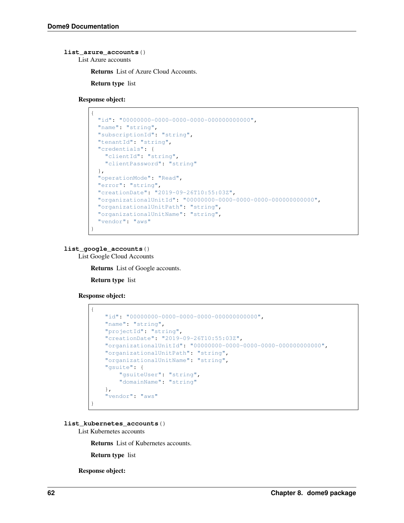### **list\_azure\_accounts**()

List Azure accounts

Returns List of Azure Cloud Accounts.

Return type list

Response object:

```
{
 "id": "00000000-0000-0000-0000-000000000000",
 "name": "string",
 "subscriptionId": "string",
 "tenantId": "string",
 "credentials": {
   "clientId": "string",
    "clientPassword": "string"
 },
 "operationMode": "Read",
 "error": "string",
 "creationDate": "2019-09-26T10:55:03Z",
 "organizationalUnitId": "00000000-0000-0000-0000-000000000000",
 "organizationalUnitPath": "string",
 "organizationalUnitName": "string",
 "vendor": "aws"
}
```
### **list\_google\_accounts**()

List Google Cloud Accounts

Returns List of Google accounts.

Return type list

#### Response object:

```
{
   "id": "00000000-0000-0000-0000-000000000000",
   "name": "string",
    "projectId": "string",
    "creationDate": "2019-09-26T10:55:03Z",
   "organizationalUnitId": "00000000-0000-0000-0000-000000000000",
    "organizationalUnitPath": "string",
   "organizationalUnitName": "string",
   "gsuite": {
       "gsuiteUser": "string",
       "domainName": "string"
   },
    "vendor": "aws"
}
```
**list\_kubernetes\_accounts**()

List Kubernetes accounts

Returns List of Kubernetes accounts.

Return type list

Response object: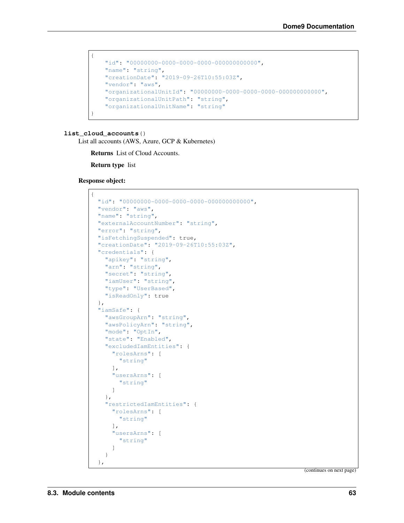```
{
   "id": "00000000-0000-0000-0000-000000000000",
   "name": "string",
   "creationDate": "2019-09-26T10:55:03Z",
   "vendor": "aws",
   "organizationalUnitId": "00000000-0000-0000-0000-000000000000",
   "organizationalUnitPath": "string",
   "organizationalUnitName": "string"
}
```
#### **list\_cloud\_accounts**()

List all accounts (AWS, Azure, GCP & Kubernetes)

Returns List of Cloud Accounts.

Return type list

Response object:

```
{
  "id": "00000000-0000-0000-0000-000000000000",
 "vendor": "aws",
 "name": "string",
  "externalAccountNumber": "string",
  "error": "string",
 "isFetchingSuspended": true,
 "creationDate": "2019-09-26T10:55:03Z",
 "credentials": {
   "apikey": "string",
   "arn": "string",
   "secret": "string",
   "iamUser": "string",
    "type": "UserBased",
    "isReadOnly": true
 },
 "iamSafe": {
    "awsGroupArn": "string",
    "awsPolicyArn": "string",
    "mode": "OptIn",
    "state": "Enabled",
    "excludedIamEntities": {
      "rolesArns": [
       "string"
      \frac{1}{\sqrt{2}}"usersArns": [
        "string"
      ]
    },
    "restrictedIamEntities": {
      "rolesArns": [
        "string"
      \left| \cdot \right|"usersArns": [
        "string"
      ]
    }
  },
```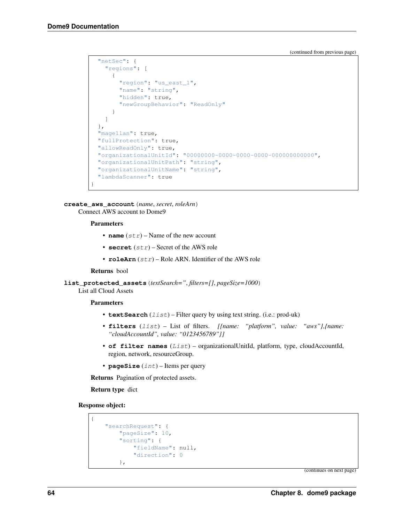```
"netSec": {
  "regions": [
    {
      "region": "us_east_1",
      "name": "string",
      "hidden": true,
      "newGroupBehavior": "ReadOnly"
    }
  ]
},
"magellan": true,
"fullProtection": true,
"allowReadOnly": true,
"organizationalUnitId": "00000000-0000-0000-0000-000000000000",
"organizationalUnitPath": "string",
"organizationalUnitName": "string",
"lambdaScanner": true
```
**create\_aws\_account**(*name*, *secret*, *roleArn*) Connect AWS account to Dome9

#### Parameters

}

- **name**  $(str)$  Name of the new account
- **secret** (str) Secret of the AWS role
- **roleArn** (str) Role ARN. Identifier of the AWS role

#### Returns bool

**list\_protected\_assets**(*textSearch="*, *filters=[]*, *pageSize=1000*)

List all Cloud Assets

#### Parameters

- **textSearch** (*list*) Filter query by using text string. (i.e.: prod-uk)
- **filters** (list) List of filters. *[{name: "platform", value: "aws"},{name: "cloudAccountId", value: "0123456789"}]*
- **of filter names** (List) organizationalUnitId, platform, type, cloudAccountId, region, network, resourceGroup.
- **pageSize** (int) Items per query

Returns Pagination of protected assets.

Return type dict

Response object:

```
{
    "searchRequest": {
        "pageSize": 10,
        "sorting": {
            "fieldName": null,
            "direction": 0
        },
```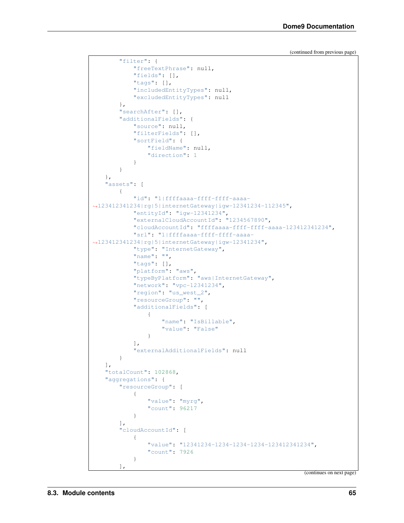```
"filter": {
            "freeTextPhrase": null,
            "fields": [],
            "tags": [],
            "includedEntityTypes": null,
            "excludedEntityTypes": null
       },
        "searchAfter": [],
        "additionalFields": {
            "source": null,
            "filterFields": [],
            "sortField": {
               "fieldName": null,
                "direction": 1
            }
       }
   },
   "assets": [
       {
            "id": "1|ffffaaaa-ffff-ffff-aaaa-
˓→123412341234|rg|5|internetGateway|igw-12341234-112345",
            "entityId": "igw-12341234",
            "externalCloudAccountId": "1234567890",
            "cloudAccountId": "ffffaaaa-ffff-ffff-aaaa-123412341234",
            "srl": "1|ffffaaaa-ffff-ffff-aaaa-
˓→123412341234|rg|5|internetGateway|igw-12341234",
            "type": "InternetGateway",
            "name": "",
            "tags": [],
            "platform": "aws",
            "typeByPlatform": "aws|InternetGateway",
            "network": "vpc-12341234",
            "region": "us_west_2",
            "resourceGroup": "",
            "additionalFields": [
                {
                    "name": "IsBillable",
                    "value": "False"
                }
            \frac{1}{2}"externalAdditionalFields": null
       }
   ],
   "totalCount": 102868,
   "aggregations": {
        "resourceGroup": [
            {
                "value": "myrg",
                "count": 96217
            }
       ],
        "cloudAccountId": [
           {
                "value": "12341234-1234-1234-1234-123412341234",
                "count": 7926
            }
        ],
```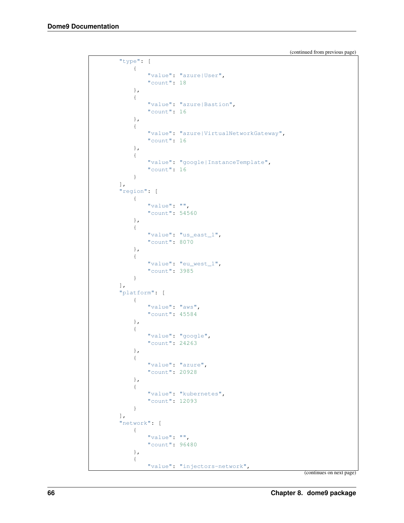```
"type": [
    \{"value": "azure|User",
        "count": 18
    },
    {
        "value": "azure|Bastion",
        "count": 16
    },
    {
        "value": "azure|VirtualNetworkGateway",
        "count": 16
    },
    {
        "value": "google|InstanceTemplate",
        "count": 16
    }
],
"region": [
    {
        "value": "",
        "count": 54560
    },
    {
        "value": "us_east_1",
        "count": 8070
    },
    {
        "value": "eu_west_1",
        "count": 3985
    }
\frac{1}{2},
"platform": [
    {
        "value": "aws",
        "count": 45584
    },
    {
        "value": "google",
        "count": 24263
    },
    {
        "value": "azure",
        "count": 20928
    },
    {
        "value": "kubernetes",
        "count": 12093
    }
],
"network": [
    {
        "value": "",
        "count": 96480
    },
    {
        "value": "injectors-network",
```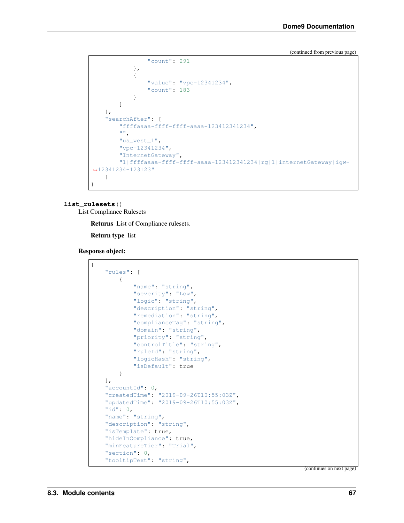```
"count": 291
            },
            {
                "value": "vpc-12341234",
                "count": 183
            }
        ]
   },
    "searchAfter": [
        "ffffaaaa-ffff-ffff-aaaa-123412341234",
       "",
       "us_west_1",
        "vpc-12341234",
        "InternetGateway",
        "1|ffffaaaa-ffff-ffff-aaaa-123412341234|rg|1|internetGateway|igw-
˓→12341234-123123"
   ]
}
```
#### **list\_rulesets**()

List Compliance Rulesets

Returns List of Compliance rulesets.

Return type list

Response object:

```
{
    "rules": [
        {
            "name": "string",
            "severity": "Low",
            "logic": "string",
            "description": "string",
            "remediation": "string",
            "complianceTag": "string",
            "domain": "string",
            "priority": "string",
            "controlTitle": "string",
            "ruleId": "string",
            "logicHash": "string",
            "isDefault": true
       }
   ],
   "accountId": 0,
   "createdTime": "2019-09-26T10:55:03Z",
   "updatedTime": "2019-09-26T10:55:03Z",
   "id": 0,
   "name": "string",
   "description": "string",
   "isTemplate": true,
   "hideInCompliance": true,
    "minFeatureTier": "Trial",
    "section": 0,
    "tooltipText": "string",
```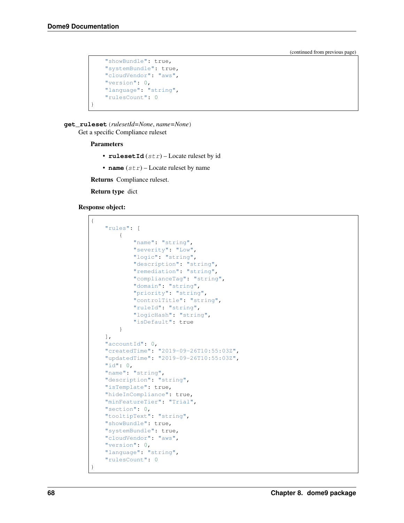```
"showBundle": true,
    "systemBundle": true,
   "cloudVendor": "aws",
    "version": 0,
    "language": "string",
    "rulesCount": 0
}
```
**get\_ruleset**(*rulesetId=None*, *name=None*) Get a specific Compliance ruleset

#### Parameters

- rulesetId  $(str)$  Locate ruleset by id
- **name**  $(str)$  Locate ruleset by name

Returns Compliance ruleset.

Return type dict

#### Response object:

```
{
   "rules": [
        {
            "name": "string",
            "severity": "Low",
            "logic": "string",
            "description": "string",
            "remediation": "string",
            "complianceTag": "string",
            "domain": "string",
            "priority": "string",
            "controlTitle": "string",
            "ruleId": "string",
            "logicHash": "string",
            "isDefault": true
       }
   ],
   "accountId": 0,
   "createdTime": "2019-09-26T10:55:03Z",
   "updatedTime": "2019-09-26T10:55:03Z",
   "id": 0,
   "name": "string",
    "description": "string",
    "isTemplate": true,
    "hideInCompliance": true,
   "minFeatureTier": "Trial",
   "section": 0,
   "tooltipText": "string",
   "showBundle": true,
   "systemBundle": true,
   "cloudVendor": "aws",
   "version": 0,
    "language": "string",
    "rulesCount": 0
}
```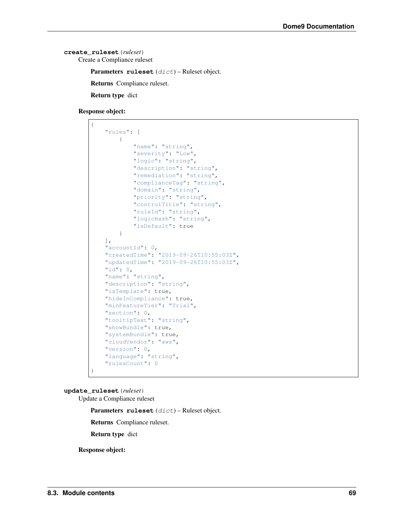```
create_ruleset(ruleset)
    Create a Compliance ruleset
```
Parameters **ruleset** (dict) – Ruleset object.

Returns Compliance ruleset.

Return type dict

Response object:

```
{
    "rules": [
        {
            "name": "string",
            "severity": "Low",
            "logic": "string",
            "description": "string",
            "remediation": "string",
            "complianceTag": "string",
            "domain": "string",
            "priority": "string",
            "controlTitle": "string",
            "ruleId": "string",
            "logicHash": "string",
            "isDefault": true
        }
   \frac{1}{2}"accountId": 0,
   "createdTime": "2019-09-26T10:55:03Z",
   "updatedTime": "2019-09-26T10:55:03Z",
   "id": 0,
   "name": "string",
   "description": "string",
   "isTemplate": true,
   "hideInCompliance": true,
   "minFeatureTier": "Trial",
   "section": 0,
   "tooltipText": "string",
   "showBundle": true,
   "systemBundle": true,
    "cloudVendor": "aws",
   "version": 0,
   "language": "string",
   "rulesCount": 0
}
```
**update\_ruleset**(*ruleset*)

Update a Compliance ruleset

Parameters **ruleset** (dict) – Ruleset object.

Returns Compliance ruleset.

Return type dict

Response object: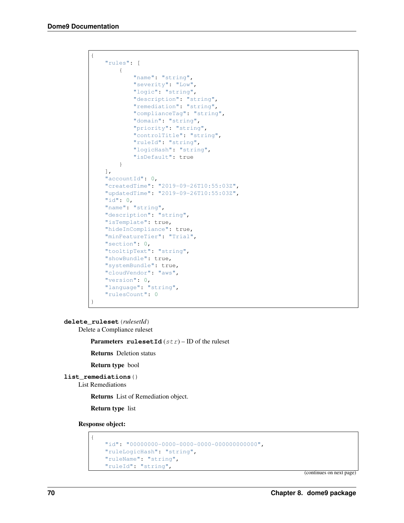```
{
    "rules": [
       {
            "name": "string",
            "severity": "Low",
            "logic": "string",
            "description": "string",
            "remediation": "string",
            "complianceTag": "string",
            "domain": "string",
            "priority": "string",
            "controlTitle": "string",
            "ruleId": "string",
            "logicHash": "string",
            "isDefault": true
        }
   ],
   "accountId": 0,
   "createdTime": "2019-09-26T10:55:03Z",
   "updatedTime": "2019-09-26T10:55:03Z",
   "id": 0,
   "name": "string",
   "description": "string",
   "isTemplate": true,
   "hideInCompliance": true,
    "minFeatureTier": "Trial",
   "section": 0,
    "tooltipText": "string",
    "showBundle": true,
   "systemBundle": true,
   "cloudVendor": "aws",
   "version": 0,
   "language": "string",
   "rulesCount": 0
}
```
**delete\_ruleset**(*rulesetId*)

Delete a Compliance ruleset

**Parameters rulesetId**  $(str)$  – ID of the ruleset

Returns Deletion status

Return type bool

**list\_remediations**()

List Remediations

Returns List of Remediation object.

Return type list

Response object:

```
{
   "id": "00000000-0000-0000-0000-000000000000",
   "ruleLogicHash": "string",
   "ruleName": "string",
    "ruleId": "string",
```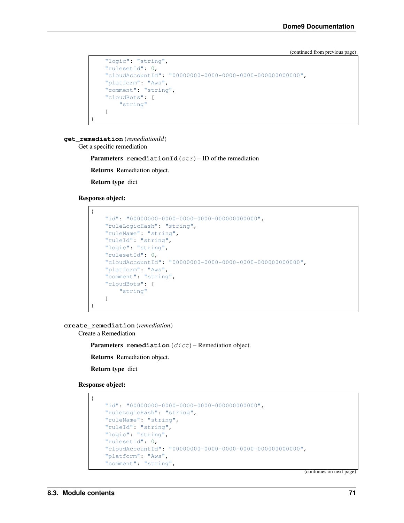```
"logic": "string",
"rulesetId": 0,
"cloudAccountId": "00000000-0000-0000-0000-000000000000",
"platform": "Aws",
"comment": "string",
"cloudBots": [
   "string"
]
```
**get\_remediation**(*remediationId*)

Get a specific remediation

**Parameters remediationId**  $(str)$  – ID of the remediation

Returns Remediation object.

Return type dict

Response object:

}

```
{
   "id": "00000000-0000-0000-0000-000000000000",
   "ruleLogicHash": "string",
   "ruleName": "string",
   "ruleId": "string",
   "logic": "string",
   "rulesetId": 0,
   "cloudAccountId": "00000000-0000-0000-0000-000000000000",
   "platform": "Aws",
   "comment": "string",
   "cloudBots": [
       "string"
   ]
}
```
**create\_remediation**(*remediation*)

Create a Remediation

Parameters remediation (dict) – Remediation object.

Returns Remediation object.

Return type dict

Response object:

{

```
"id": "00000000-0000-0000-0000-000000000000",
"ruleLogicHash": "string",
"ruleName": "string",
"ruleId": "string",
"logic": "string",
"rulesetId": 0,
"cloudAccountId": "00000000-0000-0000-0000-000000000000",
"platform": "Aws",
"comment": "string",
```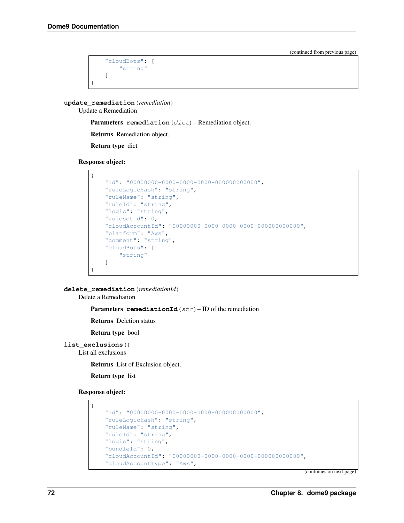```
"cloudBots": [
         "string"
    ]
}
```
**update\_remediation**(*remediation*)

Update a Remediation

Parameters remediation (dict) – Remediation object.

Returns Remediation object.

Return type dict

Response object:

```
{
   "id": "00000000-0000-0000-0000-000000000000",
   "ruleLogicHash": "string",
   "ruleName": "string",
   "ruleId": "string",
   "logic": "string",
   "rulesetId": 0,
   "cloudAccountId": "00000000-0000-0000-0000-000000000000",
   "platform": "Aws",
   "comment": "string",
    "cloudBots": [
       "string"
   ]
}
```
**delete\_remediation**(*remediationId*)

Delete a Remediation

**Parameters remediationId**  $(str)$  – ID of the remediation

Returns Deletion status

Return type bool

```
list_exclusions()
```
List all exclusions

Returns List of Exclusion object.

Return type list

Response object:

{

```
"id": "00000000-0000-0000-0000-000000000000",
"ruleLogicHash": "string",
"ruleName": "string",
"ruleId": "string",
"logic": "string",
"bundleId": 0,
"cloudAccountId": "00000000-0000-0000-0000-000000000000",
"cloudAccountType": "Aws",
```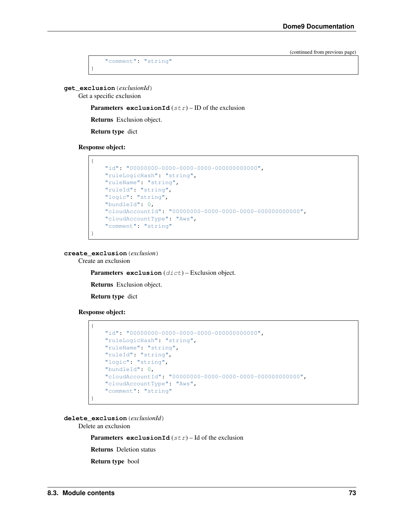```
"comment": "string"
```
**get\_exclusion**(*exclusionId*)

<span id="page-76-0"></span>}

Get a specific exclusion

Parameters **exclusionId** (str) – ID of the exclusion

Returns Exclusion object.

Return type dict

Response object:



**create\_exclusion**(*exclusion*)

Create an exclusion

Parameters **exclusion** (dict) – Exclusion object.

Returns Exclusion object.

Return type dict

Response object:

```
{
   "id": "00000000-0000-0000-0000-000000000000",
   "ruleLogicHash": "string",
   "ruleName": "string",
   "ruleId": "string",
   "logic": "string",
   "bundleId": 0,
    "cloudAccountId": "00000000-0000-0000-0000-000000000000",
   "cloudAccountType": "Aws",
    "comment": "string"
}
```
**delete\_exclusion**(*exclusionId*)

Delete an exclusion

**Parameters exclusionId**  $(str) - Id$  of the exclusion

Returns Deletion status

Return type bool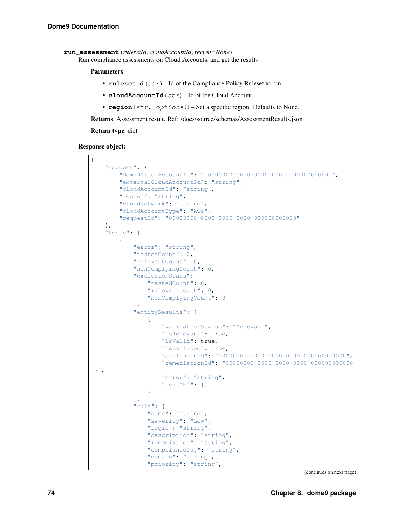```
run_assessment(rulesetId, cloudAccountId, region=None)
```
Run compliance assessments on Cloud Accounts, and get the results

#### Parameters

- **rulesetId** (str) Id of the Compliance Policy Ruleset to run
- **cloudAccountId**  $(str)$  Id of the Cloud Account
- **region** (str, optional) Set a specific region. Defaults to None.

Returns Assessment result. Ref: /docs/source/schemas/AssessmentResults.json

Return type dict

Response object:

```
{
    "request": {
        "dome9CloudAccountId": "00000000-0000-0000-0000-000000000000",
        "externalCloudAccountId": "string",
        "cloudAccountId": "string",
        "region": "string",
        "cloudNetwork": "string",
        "cloudAccountType": "Aws",
        "requestId": "00000000-0000-0000-0000-000000000000"
    },
    "tests": [
        {
            "error": "string",
            "testedCount": 0,
            "relevantCount": 0,
            "nonComplyingCount": 0,
            "exclusionStats": {
                "testedCount": 0,
                "relevantCount": 0,
                "nonComplyingCount": 0
            },
            "entityResults": [
                 {
                     "validationStatus": "Relevant",
                     "isRelevant": true,
                     "isValid": true,
                     "isExcluded": true,
                     "exclusionId": "00000000-0000-0000-0000-000000000000",
                     "remediationId": "00000000-0000-0000-0000-000000000000
\hookrightarrow",
                     "error": "string",
                     "testObj": {}
                }
            \frac{1}{2},
            "rule": {
                 "name": "string",
                 "severity": "Low",
                 "logic": "string",
                 "description": "string",
                 "remediation": "string",
                 "complianceTag": "string",
                 "domain": "string",
                 "priority": "string",
```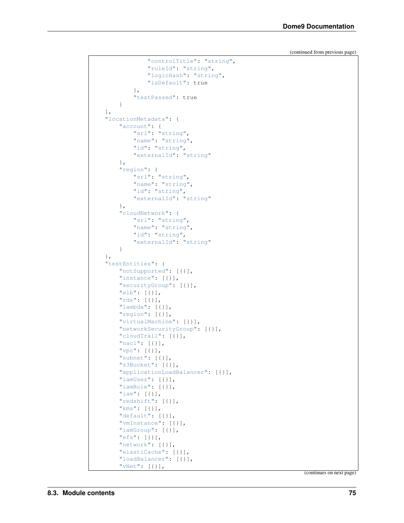```
"controlTitle": "string",
            "ruleId": "string",
            "logicHash": "string",
            "isDefault": true
        },
        "testPassed": true
    }
],
"locationMetadata": {
    "account": {
        "srl": "string",
        "name": "string",
        "id": "string",
        "externalId": "string"
    },
    "region": {
        "srl": "string",
        "name": "string",
        "id": "string",
        "externalId": "string"
    },
    "cloudNetwork": {
        "srl": "string",
        "name": "string",
        "id": "string",
        "externalId": "string"
    }
},
"testEntities": {
    "notSupported": [{}],
    "instance": [{}],
    "securityGroup": [{}],
    "elb": [{}],
    "rds": [{}],
    "lambda": [{}],
    "region": [{}],
    "virtualMachine": [{}],
    "networkSecurityGroup": [{}],
    "cloudTrail": [{}],
    "nacl": [{}],
    "vpc": [{}],
    "subnet": [{}],
    "s3Bucket": [{}],
    "applicationLoadBalancer": [{}],
    "iamUser": [{}],
    "iamRole": [{}],
    "iam": [{}],
    "redshift": [{}],
    "kms": [{}],
    "default": [{}],
    "vmInstance": [{}],
    "iamGroup": [{}],
    "efs": [{}],
    "network": [{}],
    "elastiCache": [{}],
    "loadBalancer": [{}],
    "vNet": [{}],
```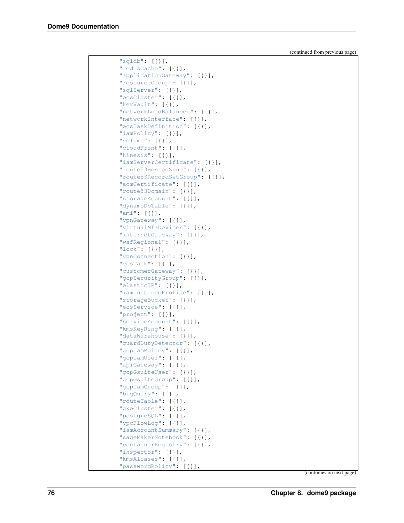| " $sgldb"$ : [{}],                         |
|--------------------------------------------|
| "redisCache": [{}],                        |
| "applicationGateway": [{}],                |
| "resourceGroup": [{}],                     |
| "sqlServer": [{}],                         |
| "ecsCluster": [{}],                        |
| "keyVault": [{}],                          |
| "networkLoadBalancer": [{}],               |
| "networkInterface": [{}],                  |
| "ecsTaskDefinition": [{}],                 |
| "iamPolicy": [{}],                         |
| "volume": $[\{\}]$ ,                       |
| "cloudFront": [{}],                        |
| "kinesis": $[\{\}]$ ,                      |
| "iamServerCertificate": [{}],              |
| "route53HostedZone": [{}],                 |
| "route53RecordSetGroup": [{}],             |
| "acmCertificate": [{}],                    |
| "route53Domain": [{}],                     |
| "storageAccount": [{}],                    |
| "dynamoDbTable": [{}],                     |
| "ami": $[\{\}]$ ,                          |
| "vpnGateway": [{}],                        |
| "virtualMfaDevices": [{}],                 |
| "internetGateway": [{}],                   |
| "wafRegional": [{}],<br>"lock": $[\{\}]$ , |
| "vpnConnection": [{}],                     |
| "ecsTask": $[\{\}]$ ,                      |
| "customerGateway": [{}],                   |
| "gcpSecurityGroup": [{}],                  |
| "elasticIP": [{}],                         |
| "iamInstanceProfile": [{}],                |
| "storageBucket": [{}],                     |
| "ecsService": [{}],                        |
| "project": [{}],                           |
| "serviceAccount": [{}],                    |
| "kmsKeyRing": [{}],                        |
| "dataWarehouse": [{}],                     |
| "guardDutyDetector": [{}],                 |
| "gcpIamPolicy": [{}],                      |
| "gcpIamUser": [{}],                        |
| "apiGateway": [{}],                        |
| "gcpGsuiteUser": [{}],                     |
| "gcpGsuiteGroup": [{}],                    |
| "gcpIamGroup": [{}],                       |
| "bigQuery": [{}],                          |
| "routeTable": [{}],                        |
| "gkeCluster": [{}],                        |
| "postgreSQL": [{}],                        |
| "vpcFlowLog": [{}],                        |
| "iamAccountSummary": [{}],                 |
| "sageMakerNotebook": [{}],                 |
| "containerRegistry": [{}],                 |
| "inspector": [{}],                         |
| "kmsAliases": [{}],                        |
| "passwordPolicy": [{}],                    |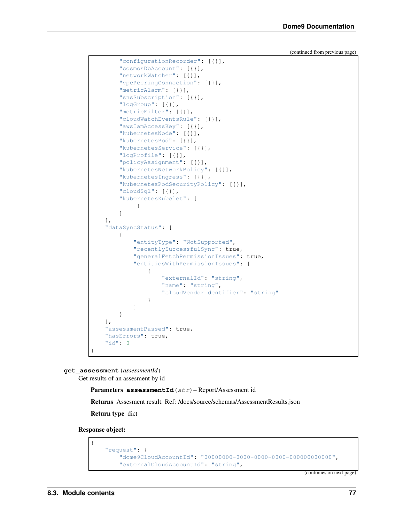```
"configurationRecorder": [{}],
    "cosmosDbAccount": [{}],
    "networkWatcher": [{}],
    "vpcPeeringConnection": [{}],
    "metricAlarm": [{}],
    "snsSubscription": [{}],
    "logGroup": [{}],
    "metricFilter": [{}],
    "cloudWatchEventsRule": [{}],
    "awsIamAccessKey": [{}],
    "kubernetesNode": [{}],
    "kubernetesPod": [{}],
    "kubernetesService": [{}],
    "logProfile": [{}],
    "policyAssignment": [{}],
    "kubernetesNetworkPolicy": [{}],
    "kubernetesIngress": [{}],
    "kubernetesPodSecurityPolicy": [{}],
    "cloudSql": [{}],
    "kubernetesKubelet": [
        {}
    ]
},
"dataSyncStatus": [
    {
        "entityType": "NotSupported",
        "recentlySuccessfulSync": true,
        "generalFetchPermissionIssues": true,
        "entitiesWithPermissionIssues": [
            {
                "externalId": "string",
                "name": "string",
                "cloudVendorIdentifier": "string"
            }
        ]
    }
\vert,
"assessmentPassed": true,
"hasErrors": true,
"id": 0
```
**get\_assessment**(*assessmentId*)

}

Get results of an assesment by id

Parameters **assessmentId** (str) – Report/Assessment id

Returns Assesment result. Ref: /docs/source/schemas/AssessmentResults.json

Return type dict

Response object:

{

```
"request": {
    "dome9CloudAccountId": "00000000-0000-0000-0000-000000000000",
    "externalCloudAccountId": "string",
```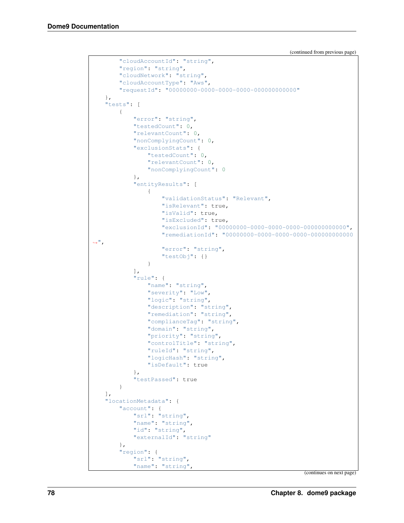```
(continued from previous page)
```

```
"cloudAccountId": "string",
        "region": "string",
        "cloudNetwork": "string",
        "cloudAccountType": "Aws",
        "requestId": "00000000-0000-0000-0000-000000000000"
   },
   "tests": [
        {
            "error": "string",
            "testedCount": 0,
            "relevantCount": 0,
            "nonComplyingCount": 0,
            "exclusionStats": {
                "testedCount": 0,
                "relevantCount": 0,
                "nonComplyingCount": 0
            },
            "entityResults": [
                {
                     "validationStatus": "Relevant",
                     "isRelevant": true,
                     "isValid": true,
                     "isExcluded": true,
                     "exclusionId": "00000000-0000-0000-0000-000000000000",
                     "remediationId": "00000000-0000-0000-0000-000000000000
\hookrightarrow",
                     "error": "string",
                     "testObj": {}
                }
            \frac{1}{\sqrt{2}}"rule": {
                "name": "string",
                "severity": "Low",
                "logic": "string",
                "description": "string",
                "remediation": "string",
                "complianceTag": "string",
                "domain": "string",
                "priority": "string",
                "controlTitle": "string",
                "ruleId": "string",
                "logicHash": "string",
                "isDefault": true
            },
            "testPassed": true
        }
   \frac{1}{\sqrt{2}}"locationMetadata": {
        "account": {
            "srl": "string",
            "name": "string",
            "id": "string",
            "externalId": "string"
        },
        "region": {
            "srl": "string",
            "name": "string",
```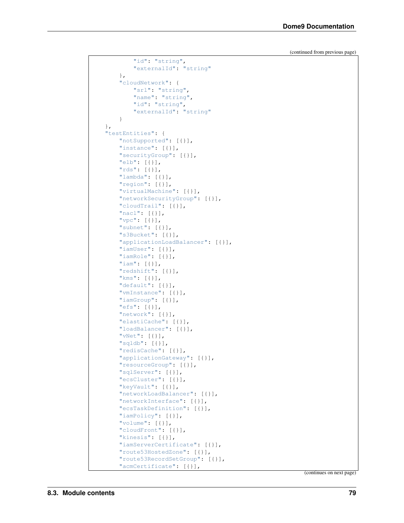```
"id": "string",
        "externalId": "string"
    },
    "cloudNetwork": {
        "srl": "string",
        "name": "string",
        "id": "string",
        "externalId": "string"
    }
},
"testEntities": {
   "notSupported": [{}],
   "instance": [{}],
   "securityGroup": [{}],
    "elb": [{}],
    "rds": [{}],
    "lambda": [{}],
    "region": [{}],
    "virtualMachine": [{}],
    "networkSecurityGroup": [{}],
    "cloudTrail": [{}],
    "nacl": [{}],
    "vpc": [{}],
    "subnet": [{}],
    "s3Bucket": [{}],
    "applicationLoadBalancer": [{}],
    "iamUser": [{}],
    "iamRole": [{}],
    "iam": [{}],
    "redshift": [{}],
    "kms": [{}],
    "default": [{}],
    "vmInstance": [{}],
    "iamGroup": [{}],
    "efs": [{}],
    "network": [{}],
    "elastiCache": [{}],
    "loadBalancer": [{}],
    "vNet": [{}],
    "sqldb": [{}],
    "redisCache": [{}],
    "applicationGateway": [{}],
    "resourceGroup": [{}],
    "sqlServer": [{}],
    "ecsCluster": [{}],
    "keyVault": [{}],
    "networkLoadBalancer": [{}],
    "networkInterface": [{}],
    "ecsTaskDefinition": [{}],
    "iamPolicy": [{}],
    "volume": [{}],
    "cloudFront": [{}],
    "kinesis": [{}],
    "iamServerCertificate": [{}],
    "route53HostedZone": [{}],
    "route53RecordSetGroup": [{}],
    "acmCertificate": [{}],
```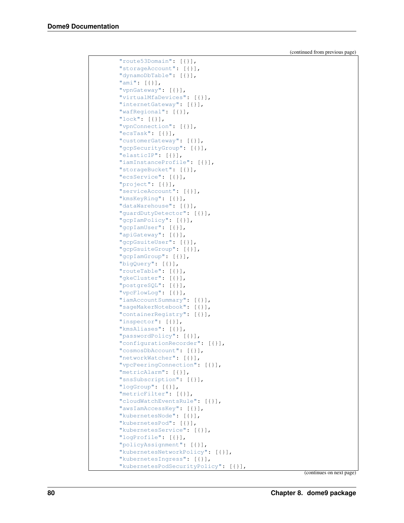| "route53Domain": [{}],                        |
|-----------------------------------------------|
| "storageAccount": [{}],                       |
| "dynamoDbTable": [{}],                        |
| "ami": $[\{\}]$ ,                             |
| "vpnGateway": [{}],                           |
| "virtualMfaDevices": [{}],                    |
| "internetGateway": [{}],                      |
| "wafRegional": [{}],                          |
| "lock": $[\{\}]$ ,                            |
| "vpnConnection": [{}],                        |
| "ecsTask": $[\{\}]$ ,                         |
| "customerGateway": [{}],                      |
| "gcpSecurityGroup": [{}],                     |
| "elasticIP": [{}],                            |
| "iamInstanceProfile": [{}],                   |
| "storageBucket": [{}],                        |
| "ecsService": [{}],                           |
| "project": [{}],                              |
| "serviceAccount": [{}],                       |
| "kmsKeyRing": [{}],                           |
| "dataWarehouse": [{}],                        |
| "guardDutyDetector": [{}],                    |
| "gcpIamPolicy": [{}],                         |
| "gcpIamUser": [{}],                           |
| "apiGateway": [{}],                           |
| "gcpGsuiteUser": [{}],                        |
| "gcpGsuiteGroup": [{}],                       |
| "gcpIamGroup": [{}],                          |
| "bigQuery": $[\{\}]$ ,<br>"routeTable": [{}], |
| "gkeCluster": [{}],                           |
| "postgreSQL": [{}],                           |
| "vpcFlowLog": [{}],                           |
| "iamAccountSummary": [{}],                    |
| "sageMakerNotebook": [{}],                    |
| "containerRegistry": [{}],                    |
| "inspector": [{}],                            |
| "kmsAliases": [{}],                           |
| "passwordPolicy": [{}],                       |
| "configurationRecorder": [{}],                |
| "cosmosDbAccount": [{}],                      |
| "networkWatcher": [{}],                       |
| "vpcPeeringConnection": [{}],                 |
| "metricAlarm": [{}],                          |
| "snsSubscription": [{}],                      |
| "logGroup": [{}],                             |
| "metricFilter": [{}],                         |
| "cloudWatchEventsRule": [{}],                 |
| "awsIamAccessKey": [{}],                      |
| "kubernetesNode": [{}],                       |
| "kubernetesPod": [{}],                        |
| "kubernetesService": [{}],                    |
| "logProfile": [{}],                           |
| "policyAssignment": [{}],                     |
| "kubernetesNetworkPolicy": [{}],              |
| "kubernetesIngress": [{}],                    |
| "kubernetesPodSecurityPolicy": [{}],          |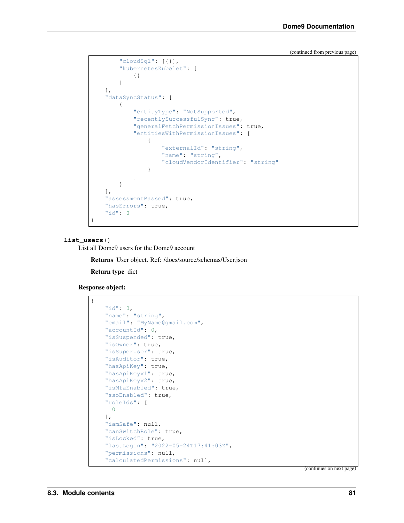```
"cloudSql": [{}],
        "kubernetesKubelet": [
            {}
        ]
   },
   "dataSyncStatus": [
        {
            "entityType": "NotSupported",
            "recentlySuccessfulSync": true,
            "generalFetchPermissionIssues": true,
            "entitiesWithPermissionIssues": [
                {
                    "externalId": "string",
                    "name": "string",
                    "cloudVendorIdentifier": "string"
                }
            ]
        }
   ],
    "assessmentPassed": true,
    "hasErrors": true,
    "id": 0
}
```
#### **list\_users**()

List all Dome9 users for the Dome9 account

Returns User object. Ref: /docs/source/schemas/User.json

Return type dict

```
Response object:
```
{

```
"id": 0,
"name": "string",
"email": "MyName@gmail.com",
"accountId": 0,
"isSuspended": true,
"isOwner": true,
"isSuperUser": true,
"isAuditor": true,
"hasApiKey": true,
"hasApiKeyV1": true,
"hasApiKeyV2": true,
"isMfaEnabled": true,
"ssoEnabled": true,
"roleIds": [
 0
\frac{1}{2}"iamSafe": null,
"canSwitchRole": true,
"isLocked": true,
"lastLogin": "2022-05-24T17:41:03Z",
"permissions": null,
"calculatedPermissions": null,
```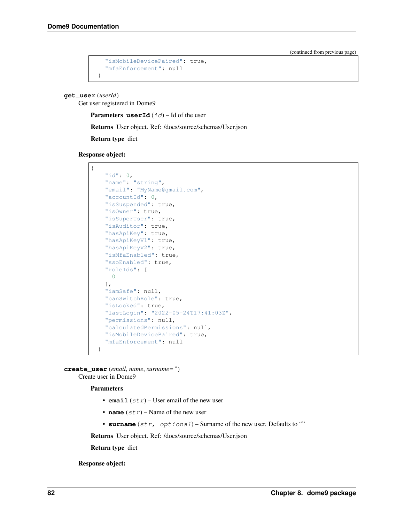```
"isMobileDevicePaired": true,
  "mfaEnforcement": null
}
```
**get\_user**(*userId*)

Get user registered in Dome9

**Parameters userId**  $(id)$  – Id of the user

Returns User object. Ref: /docs/source/schemas/User.json

Return type dict

Response object:



**create\_user**(*email*, *name*, *surname="*) Create user in Dome9

Parameters

- **email**  $(str)$  User email of the new user
- **name**  $(str)$  Name of the new user
- **surname** (str, optional) Surname of the new user. Defaults to ""

Returns User object. Ref: /docs/source/schemas/User.json

Return type dict

Response object: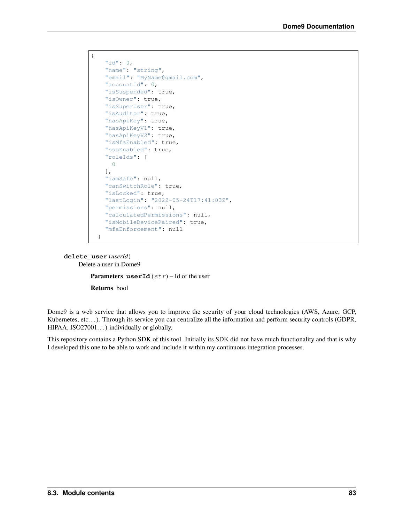```
{
    "id": 0,
    "name": "string",
    "email": "MyName@gmail.com",
    "accountId": 0,
    "isSuspended": true,
   "isOwner": true,
   "isSuperUser": true,
   "isAuditor": true,
    "hasApiKey": true,
    "hasApiKeyV1": true,
    "hasApiKeyV2": true,
    "isMfaEnabled": true,
    "ssoEnabled": true,
    "roleIds": [
     0
    \frac{1}{\sqrt{2}}"iamSafe": null,
   "canSwitchRole": true,
   "isLocked": true,
   "lastLogin": "2022-05-24T17:41:03Z",
    "permissions": null,
    "calculatedPermissions": null,
    "isMobileDevicePaired": true,
    "mfaEnforcement": null
  }
```
#### **delete\_user**(*userId*) Delete a user in Dome9

**Parameters userId**  $(str)$  – Id of the user

Returns bool

Dome9 is a web service that allows you to improve the security of your cloud technologies (AWS, Azure, GCP, Kubernetes, etc...). Through its service you can centralize all the information and perform security controls (GDPR,  $HIPAA$ ,  $ISO27001...$  individually or globally.

This repository contains a Python SDK of this tool. Initially its SDK did not have much functionality and that is why I developed this one to be able to work and include it within my continuous integration processes.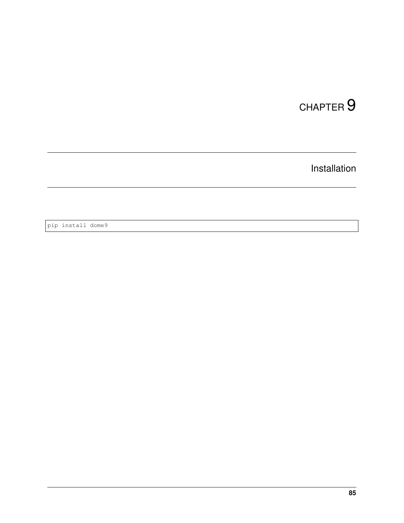## CHAPTER<sup>9</sup>

Installation

pip install dome9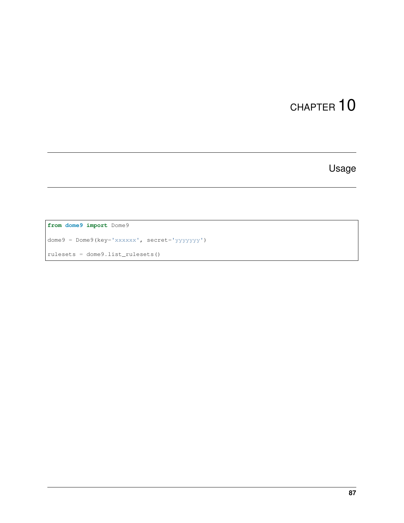Usage

**from dome9 import** Dome9

dome9 = Dome9(key='xxxxxx', secret='yyyyyyy')

rulesets = dome9.list\_rulesets()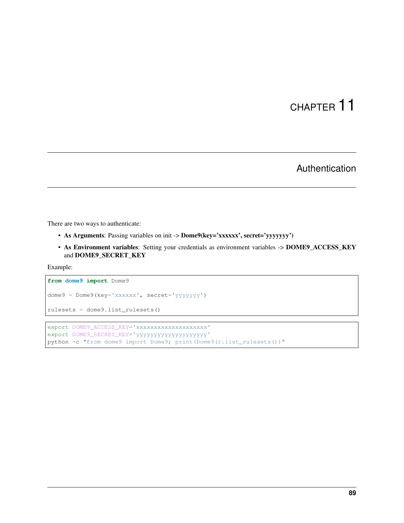Authentication

There are two ways to authenticate:

- As Arguments: Passing variables on init -> Dome9(key='xxxxxx', secret='yyyyyyy')
- As Environment variables: Setting your credentials as environment variables -> DOME9\_ACCESS\_KEY and DOME9\_SECRET\_KEY

Example:

```
from dome9 import Dome9
dome9 = Dome9(key='xxxxxx', secret='yyyyyyy')
```
rulesets = dome9.list\_rulesets()

export DOME9\_ACCESS\_KEY='xxxxxxxxxxxxxxxxxxxxx export DOME9\_SECRET\_KEY='yyyyyyyyyyyyyyyyyyyy' python -c "from dome9 import Dome9; print(Dome9().list\_rulesets())"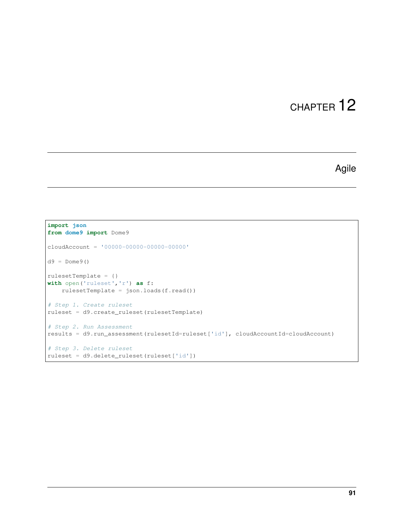### Agile

```
import json
from dome9 import Dome9
cloudAccount = '00000-00000-00000-00000'
d9 = Dome9()
rulesetTemplate = {}
with open('ruleset','r') as f:
   rulesetTemplate = json.loads(f.read())
# Step 1. Create ruleset
ruleset = d9.create_ruleset(rulesetTemplate)
# Step 2. Run Assessment
results = d9.run_assessment(rulesetId=ruleset['id'], cloudAccountId=cloudAccount)
# Step 3. Delete ruleset
ruleset = d9.delete_ruleset(ruleset['id'])
```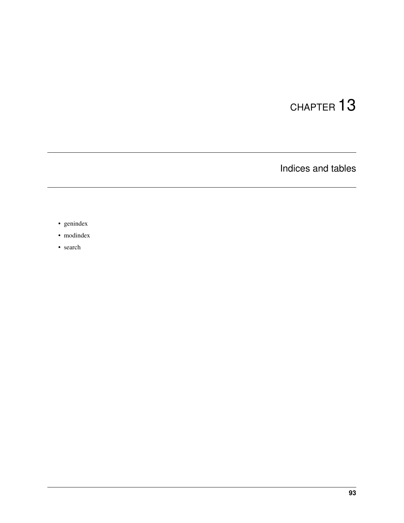Indices and tables

- genindex
- modindex
- search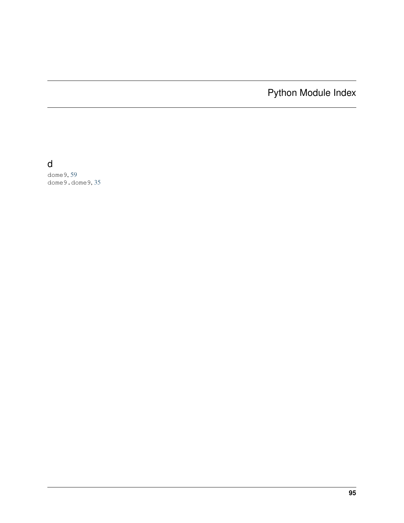Python Module Index

### d

dome9, [59](#page-62-0) dome9.dome9, [35](#page-38-0)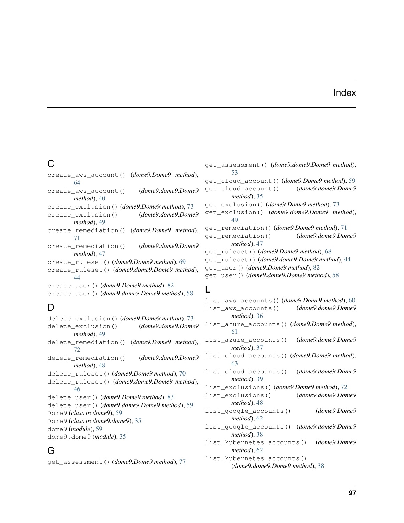#### Index

### C

create\_aws\_account() (*dome9.Dome9 method*), [64](#page-67-0) create\_aws\_account() (*dome9.dome9.Dome9 method*), [40](#page-43-0) create\_exclusion() (*dome9.Dome9 method*), [73](#page-76-0) create\_exclusion() (*dome9.dome9.Dome9 method*), [49](#page-52-0) create\_remediation() (*dome9.Dome9 method*), [71](#page-74-0) create\_remediation() (*dome9.dome9.Dome9 method*), [47](#page-50-0) create\_ruleset() (*dome9.Dome9 method*), [69](#page-72-0) create\_ruleset() (*dome9.dome9.Dome9 method*), [44](#page-47-0) create\_user() (*dome9.Dome9 method*), [82](#page-85-0) create\_user() (*dome9.dome9.Dome9 method*), [58](#page-61-0)

### D

delete\_exclusion() (*dome9.Dome9 method*), [73](#page-76-0) delete\_exclusion() (*dome9.dome9.Dome9 method*), [49](#page-52-0) delete\_remediation() (*dome9.Dome9 method*), [72](#page-75-0) delete\_remediation() (*dome9.dome9.Dome9 method*), [48](#page-51-0) delete\_ruleset() (*dome9.Dome9 method*), [70](#page-73-0) delete\_ruleset() (*dome9.dome9.Dome9 method*), [46](#page-49-0) delete\_user() (*dome9.Dome9 method*), [83](#page-86-0) delete\_user() (*dome9.dome9.Dome9 method*), [59](#page-62-1) Dome9 (*class in dome9*), [59](#page-62-1) Dome9 (*class in dome9.dome9*), [35](#page-38-1) dome9 (*module*), [59](#page-62-1) dome9.dome9 (*module*), [35](#page-38-1)

### G

get\_assessment() (*dome9.Dome9 method*), [77](#page-80-0)

get\_assessment() (*dome9.dome9.Dome9 method*), [53](#page-56-0) get\_cloud\_account() (*dome9.Dome9 method*), [59](#page-62-1) get\_cloud\_account() (*dome9.dome9.Dome9 method*), [35](#page-38-1) get\_exclusion() (*dome9.Dome9 method*), [73](#page-76-0) get\_exclusion() (*dome9.dome9.Dome9 method*), [49](#page-52-0) get\_remediation() (*dome9.Dome9 method*), [71](#page-74-0) get\_remediation() (*dome9.dome9.Dome9 method*), [47](#page-50-0) get\_ruleset() (*dome9.Dome9 method*), [68](#page-71-0) get\_ruleset() (*dome9.dome9.Dome9 method*), [44](#page-47-0) get\_user() (*dome9.Dome9 method*), [82](#page-85-0) get\_user() (*dome9.dome9.Dome9 method*), [58](#page-61-0)

#### L

```
list_aws_accounts() (dome9.Dome9 method), 60
list_aws_accounts() (dome9.dome9.Dome9
       method), 36
list_azure_accounts() (dome9.Dome9 method),
       61
list_azure_accounts() (dome9.dome9.Dome9
       method), 37
list_cloud_accounts() (dome9.Dome9 method),
       63
list_cloud_accounts() (dome9.dome9.Dome9
       method), 39
list_exclusions() (dome9.Dome9 method), 72
list_exclusions() (dome9.dome9.Dome9
       method), 48
list_google_accounts() (dome9.Dome9
       method), 62
list_google_accounts() (dome9.dome9.Dome9
       method), 38
list_kubernetes_accounts() (dome9.Dome9
       method), 62
list_kubernetes_accounts()
       (dome9.dome9.Dome9 method), 38
```